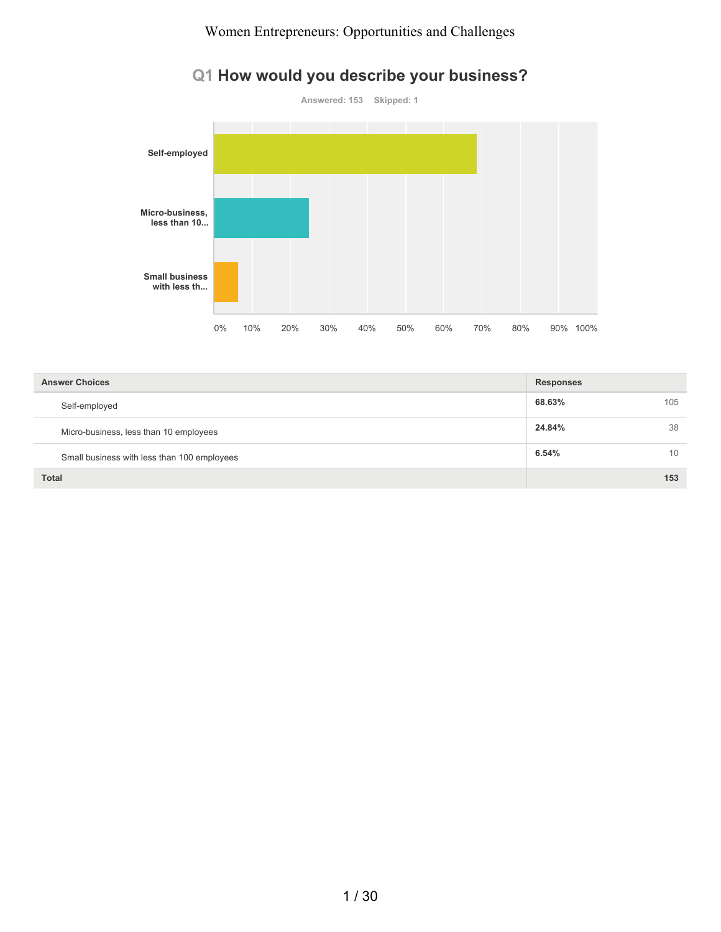# **Answered: 153 Skipped: 1 Self-employed Micro-business, less than 10... Small business with less th...** 0% 10% 20% 30% 40% 50% 60% 70% 80% 90% 100%

| <b>Answer Choices</b>                       | <b>Responses</b> |     |
|---------------------------------------------|------------------|-----|
| Self-employed                               | 68.63%           | 105 |
| Micro-business, less than 10 employees      | 24.84%           | 38  |
| Small business with less than 100 employees | 6.54%            | 10  |
| <b>Total</b>                                |                  | 153 |

# **Q1 How would you describe your business?**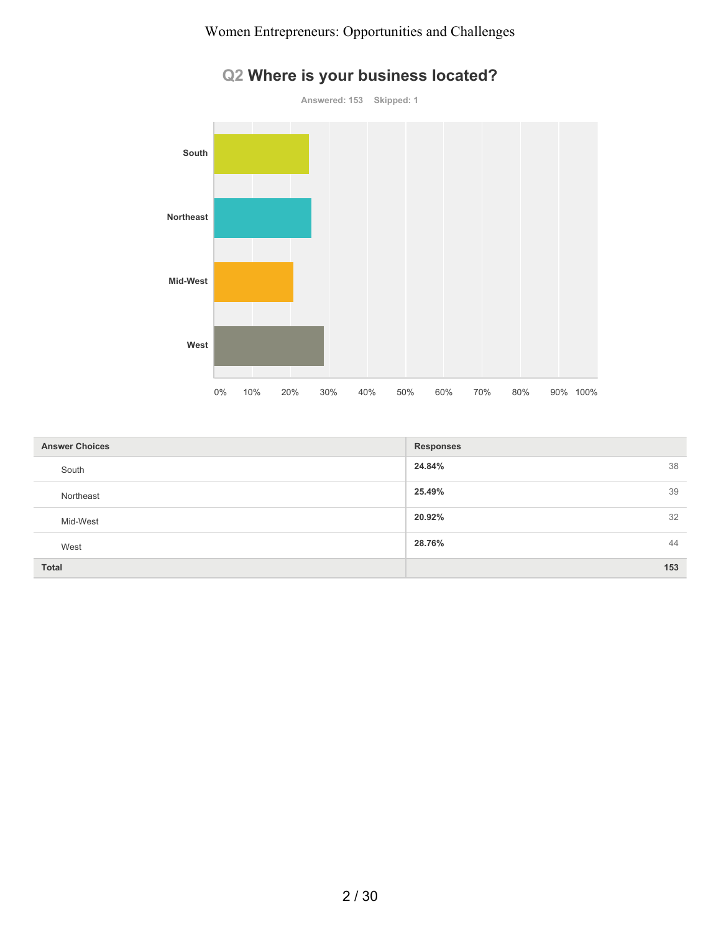

# **Q2 Where is your business located?**

| <b>Answer Choices</b> | <b>Responses</b> |
|-----------------------|------------------|
| South                 | 24.84%<br>38     |
| Northeast             | 25.49%<br>39     |
| Mid-West              | 32<br>20.92%     |
| West                  | 44<br>28.76%     |
| Total                 | 153              |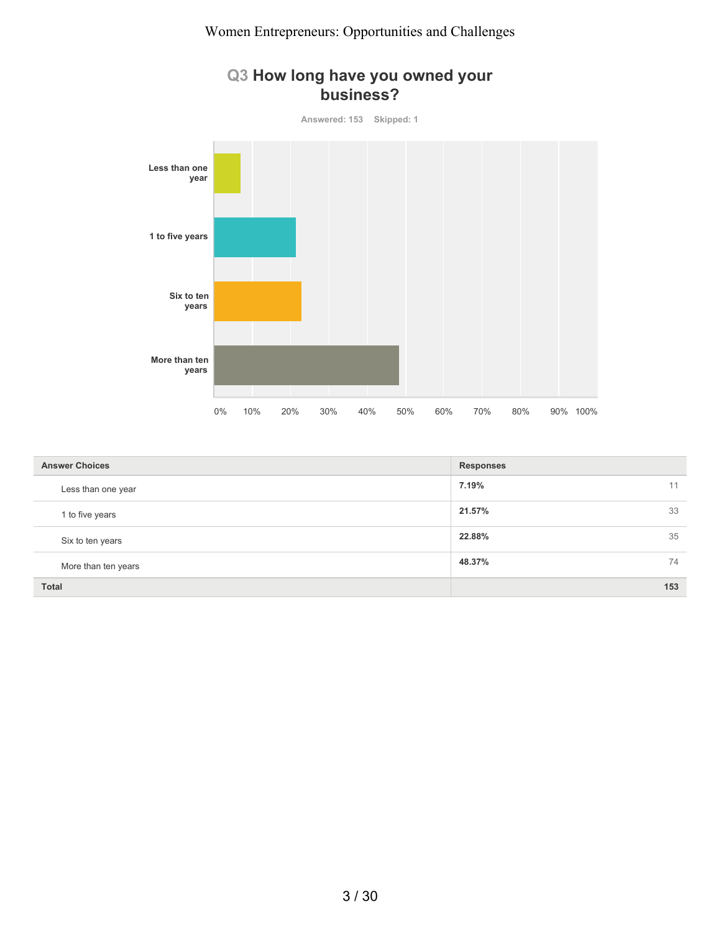

| <b>Answer Choices</b> | <b>Responses</b> |
|-----------------------|------------------|
| Less than one year    | 7.19%<br>11      |
| 1 to five years       | 33<br>21.57%     |
| Six to ten years      | 35<br>22.88%     |
| More than ten years   | 48.37%<br>74     |
| <b>Total</b>          | 153              |

#### 3 / 30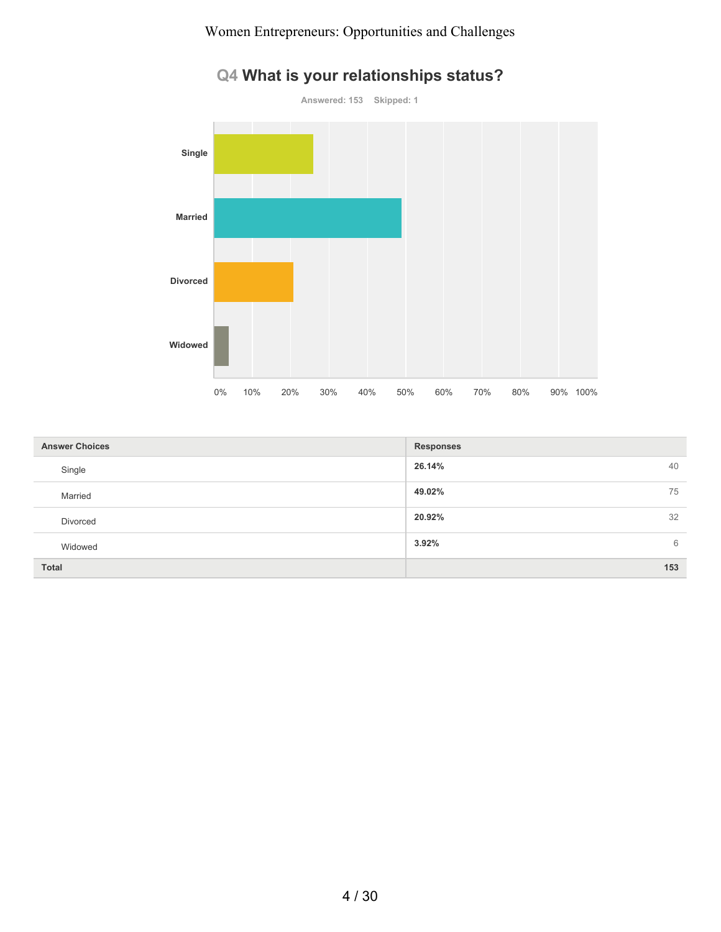

# **Q4 What is your relationships status?**

| <b>Answer Choices</b> | <b>Responses</b> |
|-----------------------|------------------|
| Single                | 26.14%<br>40     |
| Married               | 49.02%<br>75     |
| Divorced              | 20.92%<br>32     |
| Widowed               | 3.92%<br>6       |
| <b>Total</b>          | 153              |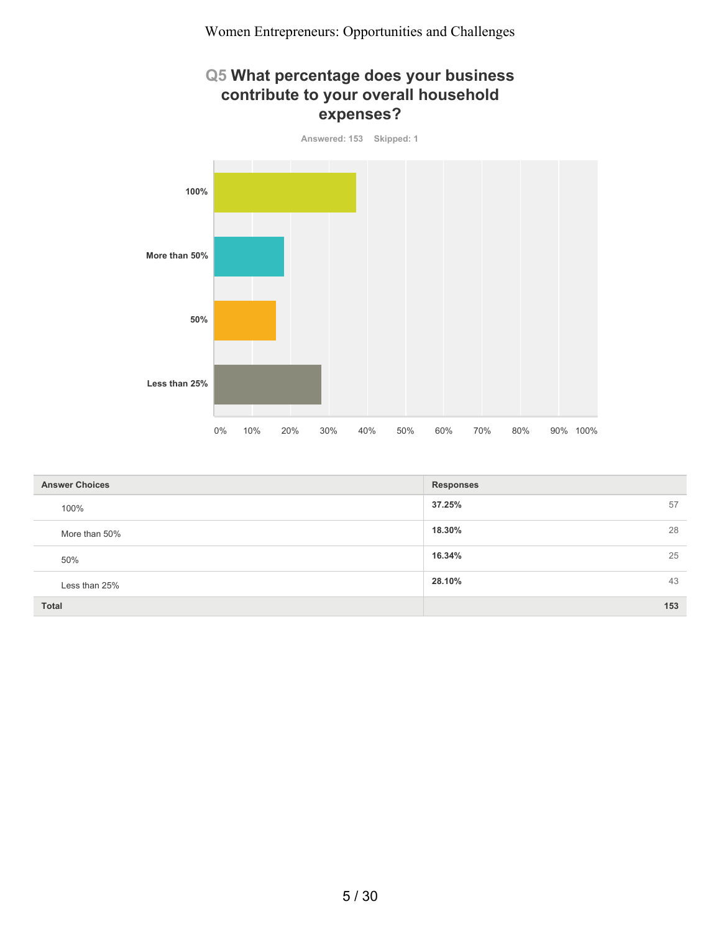#### **Q5 What percentage does your business contribute to your overall household expenses?**



| <b>Answer Choices</b> | <b>Responses</b> |
|-----------------------|------------------|
| 100%                  | 37.25%<br>57     |
| More than 50%         | 28<br>18.30%     |
| 50%                   | 25<br>16.34%     |
| Less than 25%         | 43<br>28.10%     |
| <b>Total</b>          | 153              |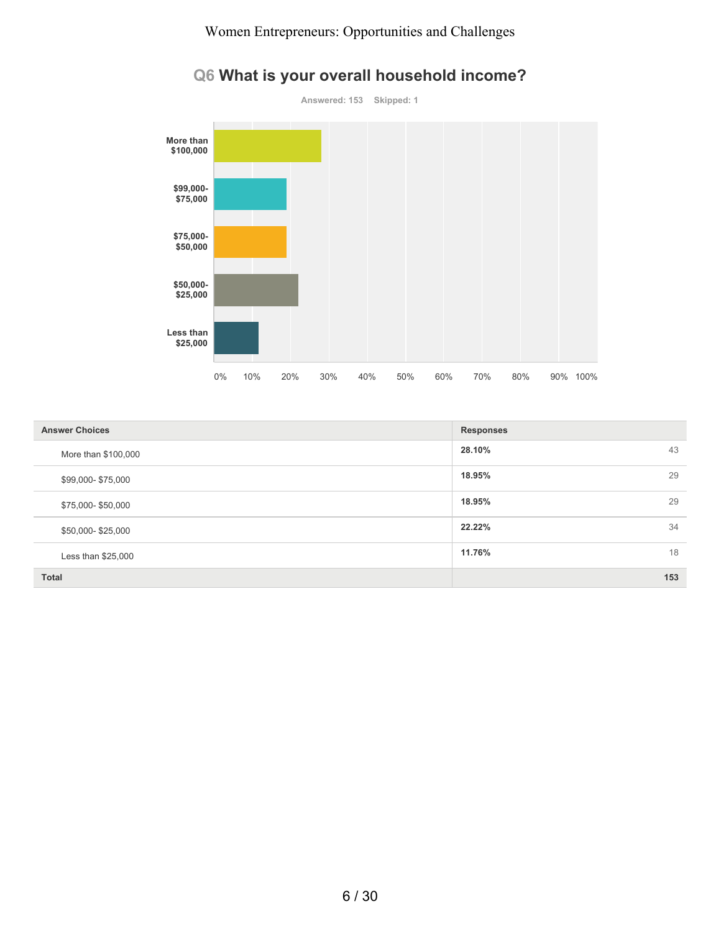

# **Q6 What is your overall household income?**

| <b>Answer Choices</b> | <b>Responses</b> |
|-----------------------|------------------|
| More than \$100,000   | 28.10%<br>43     |
| \$99,000-\$75,000     | 18.95%<br>29     |
| \$75,000-\$50,000     | 18.95%<br>29     |
| \$50,000-\$25,000     | 22.22%<br>34     |
| Less than \$25,000    | 11.76%<br>18     |
| Total                 | 153              |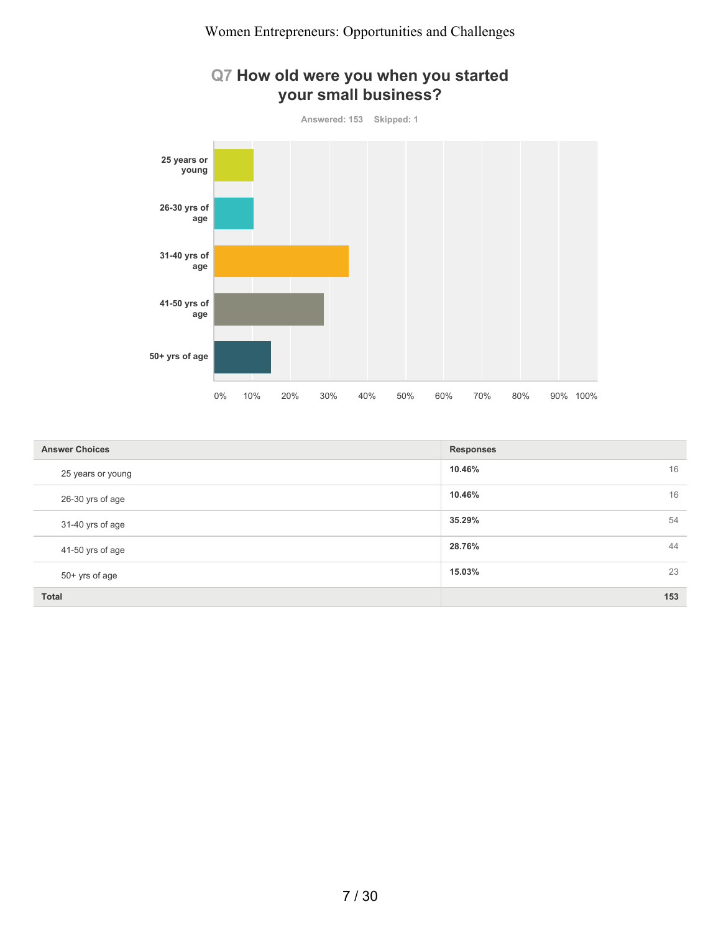#### **Q7 How old were you when you started your small business?**



| <b>Answer Choices</b> | <b>Responses</b> |
|-----------------------|------------------|
| 25 years or young     | 10.46%<br>16     |
| 26-30 yrs of age      | 16<br>10.46%     |
| 31-40 yrs of age      | 35.29%<br>54     |
| 41-50 yrs of age      | 44<br>28.76%     |
| 50+ yrs of age        | 23<br>15.03%     |
| <b>Total</b>          | 153              |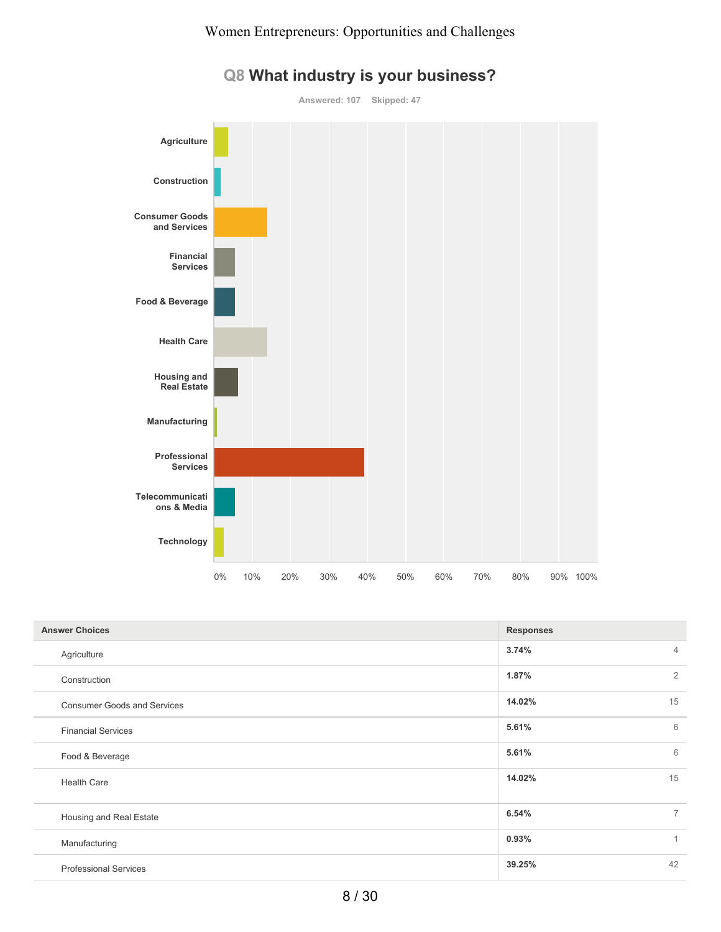

# **Q8 What industry is your business?**

| <b>Answer Choices</b>              | <b>Responses</b>        |  |
|------------------------------------|-------------------------|--|
| Agriculture                        | 3.74%<br>$\overline{4}$ |  |
| Construction                       | $\overline{2}$<br>1.87% |  |
| <b>Consumer Goods and Services</b> | 15<br>14.02%            |  |
| <b>Financial Services</b>          | 6<br>5.61%              |  |
| Food & Beverage                    | 6<br>5.61%              |  |
| <b>Health Care</b>                 | 15<br>14.02%            |  |
| Housing and Real Estate            | $\overline{7}$<br>6.54% |  |
| Manufacturing                      | 0.93%<br>$\mathbf{1}$   |  |
| <b>Professional Services</b>       | 42<br>39.25%            |  |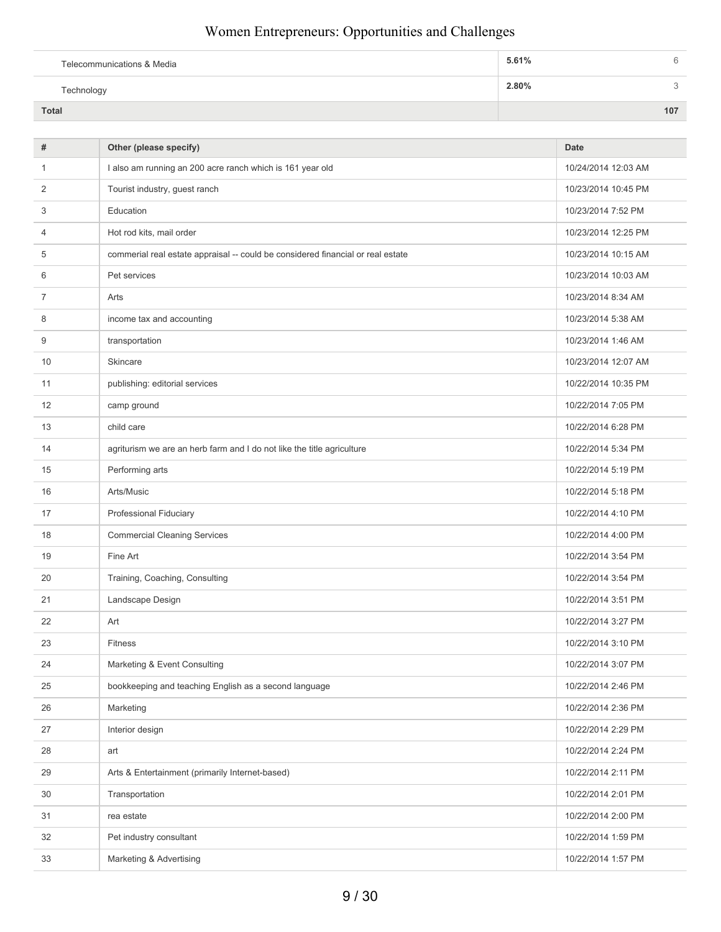| Telecommunications & Media | 5.61% |     |
|----------------------------|-------|-----|
| Technology                 | 2.80% |     |
| Total                      |       | 107 |

| #              | Other (please specify)                                                          | <b>Date</b>         |
|----------------|---------------------------------------------------------------------------------|---------------------|
| $\mathbf{1}$   | I also am running an 200 acre ranch which is 161 year old                       | 10/24/2014 12:03 AM |
| 2              | Tourist industry, guest ranch                                                   | 10/23/2014 10:45 PM |
| 3              | Education                                                                       | 10/23/2014 7:52 PM  |
| $\overline{4}$ | Hot rod kits, mail order                                                        | 10/23/2014 12:25 PM |
| 5              | commerial real estate appraisal -- could be considered financial or real estate | 10/23/2014 10:15 AM |
| 6              | Pet services                                                                    | 10/23/2014 10:03 AM |
| 7              | Arts                                                                            | 10/23/2014 8:34 AM  |
| 8              | income tax and accounting                                                       | 10/23/2014 5:38 AM  |
| 9              | transportation                                                                  | 10/23/2014 1:46 AM  |
| 10             | Skincare                                                                        | 10/23/2014 12:07 AM |
| 11             | publishing: editorial services                                                  | 10/22/2014 10:35 PM |
| 12             | camp ground                                                                     | 10/22/2014 7:05 PM  |
| 13             | child care                                                                      | 10/22/2014 6:28 PM  |
| 14             | agriturism we are an herb farm and I do not like the title agriculture          | 10/22/2014 5:34 PM  |
| 15             | Performing arts                                                                 | 10/22/2014 5:19 PM  |
| 16             | Arts/Music                                                                      | 10/22/2014 5:18 PM  |
| 17             | Professional Fiduciary                                                          | 10/22/2014 4:10 PM  |
| 18             | <b>Commercial Cleaning Services</b>                                             | 10/22/2014 4:00 PM  |
| 19             | Fine Art                                                                        | 10/22/2014 3:54 PM  |
| 20             | Training, Coaching, Consulting                                                  | 10/22/2014 3:54 PM  |
| 21             | Landscape Design                                                                | 10/22/2014 3:51 PM  |
| 22             | Art                                                                             | 10/22/2014 3:27 PM  |
| 23             | <b>Fitness</b>                                                                  | 10/22/2014 3:10 PM  |
| 24             | Marketing & Event Consulting                                                    | 10/22/2014 3:07 PM  |
| 25             | bookkeeping and teaching English as a second language                           | 10/22/2014 2:46 PM  |
| 26             | Marketing                                                                       | 10/22/2014 2:36 PM  |
| 27             | Interior design                                                                 | 10/22/2014 2:29 PM  |
| 28             | art                                                                             | 10/22/2014 2:24 PM  |
| 29             | Arts & Entertainment (primarily Internet-based)                                 | 10/22/2014 2:11 PM  |
| 30             | Transportation                                                                  | 10/22/2014 2:01 PM  |
| 31             | rea estate                                                                      | 10/22/2014 2:00 PM  |
| 32             | Pet industry consultant                                                         | 10/22/2014 1:59 PM  |
| 33             | Marketing & Advertising                                                         | 10/22/2014 1:57 PM  |
|                |                                                                                 |                     |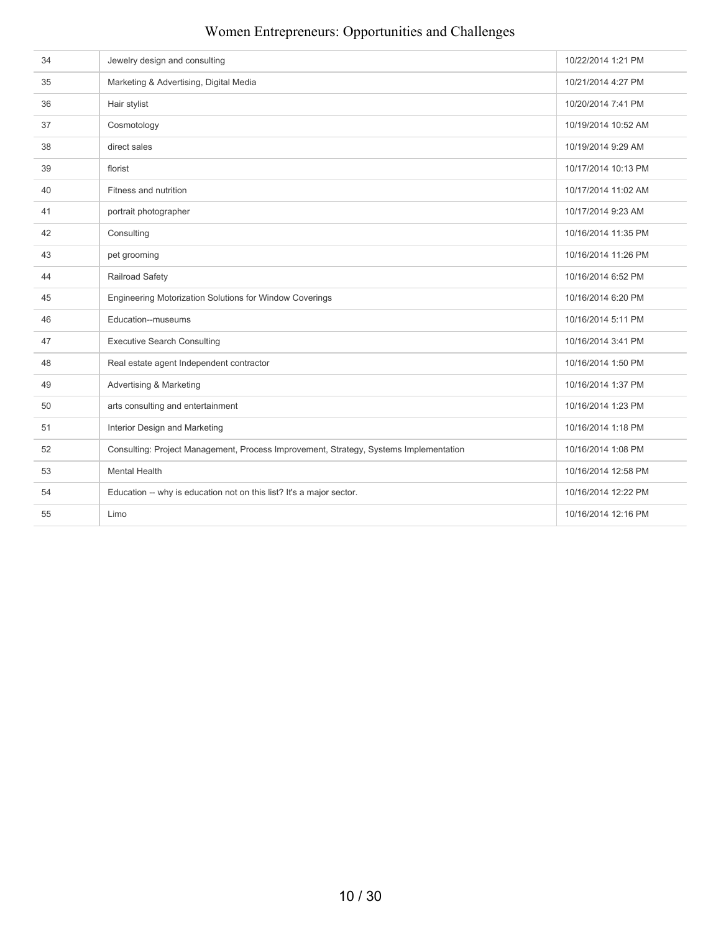| 34 | Jewelry design and consulting                                                         | 10/22/2014 1:21 PM  |
|----|---------------------------------------------------------------------------------------|---------------------|
| 35 | Marketing & Advertising, Digital Media                                                | 10/21/2014 4:27 PM  |
| 36 | Hair stylist                                                                          | 10/20/2014 7:41 PM  |
| 37 | Cosmotology                                                                           | 10/19/2014 10:52 AM |
| 38 | direct sales                                                                          | 10/19/2014 9:29 AM  |
| 39 | florist                                                                               | 10/17/2014 10:13 PM |
| 40 | Fitness and nutrition                                                                 | 10/17/2014 11:02 AM |
| 41 | portrait photographer                                                                 | 10/17/2014 9:23 AM  |
| 42 | Consulting                                                                            | 10/16/2014 11:35 PM |
| 43 | pet grooming                                                                          | 10/16/2014 11:26 PM |
| 44 | Railroad Safety                                                                       | 10/16/2014 6:52 PM  |
| 45 | Engineering Motorization Solutions for Window Coverings                               | 10/16/2014 6:20 PM  |
| 46 | Education--museums                                                                    | 10/16/2014 5:11 PM  |
| 47 | <b>Executive Search Consulting</b>                                                    | 10/16/2014 3:41 PM  |
| 48 | Real estate agent Independent contractor                                              | 10/16/2014 1:50 PM  |
| 49 | Advertising & Marketing                                                               | 10/16/2014 1:37 PM  |
| 50 | arts consulting and entertainment                                                     | 10/16/2014 1:23 PM  |
| 51 | Interior Design and Marketing                                                         | 10/16/2014 1:18 PM  |
| 52 | Consulting: Project Management, Process Improvement, Strategy, Systems Implementation | 10/16/2014 1:08 PM  |
| 53 | <b>Mental Health</b>                                                                  | 10/16/2014 12:58 PM |
| 54 | Education -- why is education not on this list? It's a major sector.                  | 10/16/2014 12:22 PM |
| 55 | Limo                                                                                  | 10/16/2014 12:16 PM |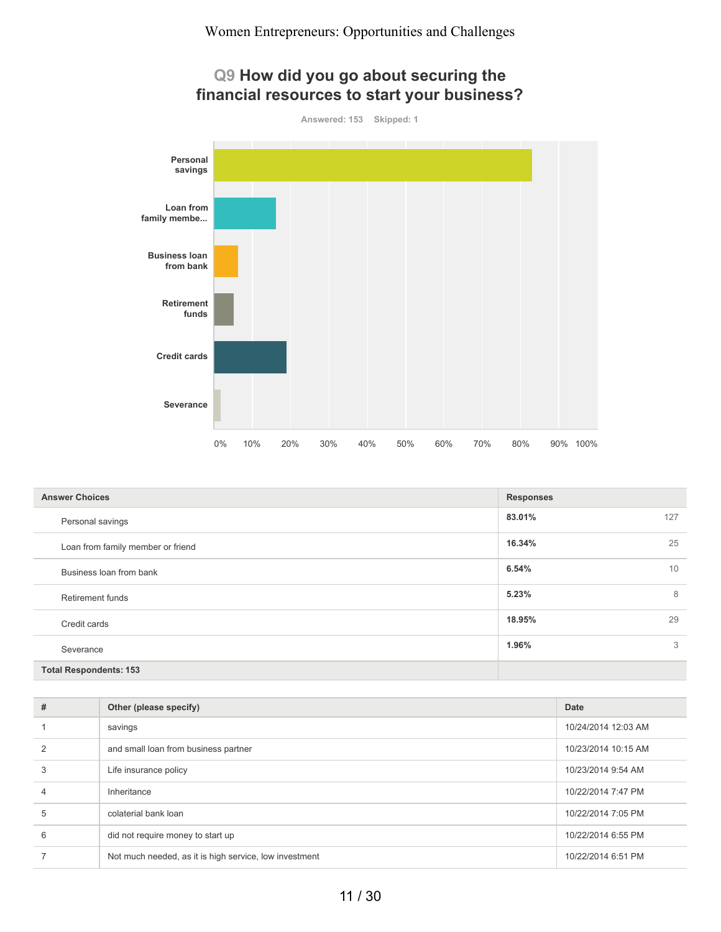## **Q9 How did you go about securing the financial resources to start your business?**

**Answered: 153 Skipped: 1**



| <b>Answer Choices</b>             | <b>Responses</b> |
|-----------------------------------|------------------|
| Personal savings                  | 83.01%<br>127    |
| Loan from family member or friend | 16.34%<br>25     |
| Business loan from bank           | 10<br>6.54%      |
| <b>Retirement funds</b>           | 8<br>5.23%       |
| Credit cards                      | 18.95%<br>29     |
| Severance                         | 1.96%<br>3       |
| <b>Total Respondents: 153</b>     |                  |

| # | Other (please specify)                                 | Date                |
|---|--------------------------------------------------------|---------------------|
|   | savings                                                | 10/24/2014 12:03 AM |
|   | and small loan from business partner                   | 10/23/2014 10:15 AM |
| 3 | Life insurance policy                                  | 10/23/2014 9:54 AM  |
| 4 | Inheritance                                            | 10/22/2014 7:47 PM  |
| 5 | colaterial bank loan                                   | 10/22/2014 7:05 PM  |
| 6 | did not require money to start up                      | 10/22/2014 6:55 PM  |
|   | Not much needed, as it is high service, low investment | 10/22/2014 6:51 PM  |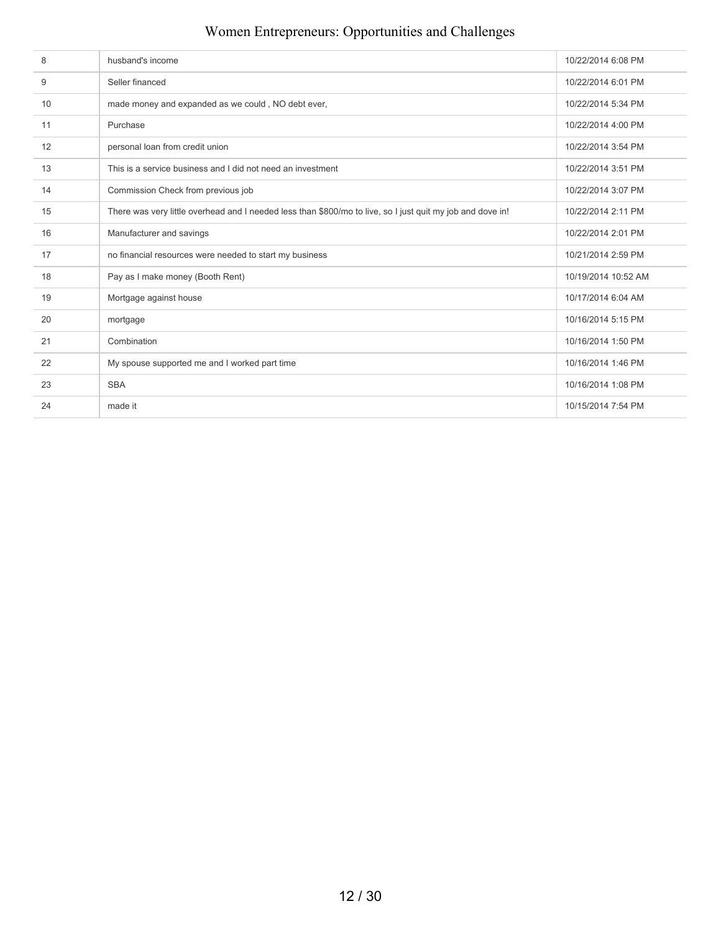| 8  | husband's income                                                                                           | 10/22/2014 6:08 PM  |
|----|------------------------------------------------------------------------------------------------------------|---------------------|
| 9  | Seller financed                                                                                            | 10/22/2014 6:01 PM  |
| 10 | made money and expanded as we could, NO debt ever,                                                         | 10/22/2014 5:34 PM  |
| 11 | Purchase                                                                                                   | 10/22/2014 4:00 PM  |
| 12 | personal loan from credit union                                                                            | 10/22/2014 3:54 PM  |
| 13 | This is a service business and I did not need an investment                                                | 10/22/2014 3:51 PM  |
| 14 | Commission Check from previous job                                                                         | 10/22/2014 3:07 PM  |
| 15 | There was very little overhead and I needed less than \$800/mo to live, so I just quit my job and dove in! | 10/22/2014 2:11 PM  |
| 16 | Manufacturer and savings                                                                                   | 10/22/2014 2:01 PM  |
| 17 | no financial resources were needed to start my business                                                    | 10/21/2014 2:59 PM  |
| 18 | Pay as I make money (Booth Rent)                                                                           | 10/19/2014 10:52 AM |
| 19 | Mortgage against house                                                                                     | 10/17/2014 6:04 AM  |
| 20 | mortgage                                                                                                   | 10/16/2014 5:15 PM  |
| 21 | Combination                                                                                                | 10/16/2014 1:50 PM  |
| 22 | My spouse supported me and I worked part time                                                              | 10/16/2014 1:46 PM  |
| 23 | <b>SBA</b>                                                                                                 | 10/16/2014 1:08 PM  |
| 24 | made it                                                                                                    | 10/15/2014 7:54 PM  |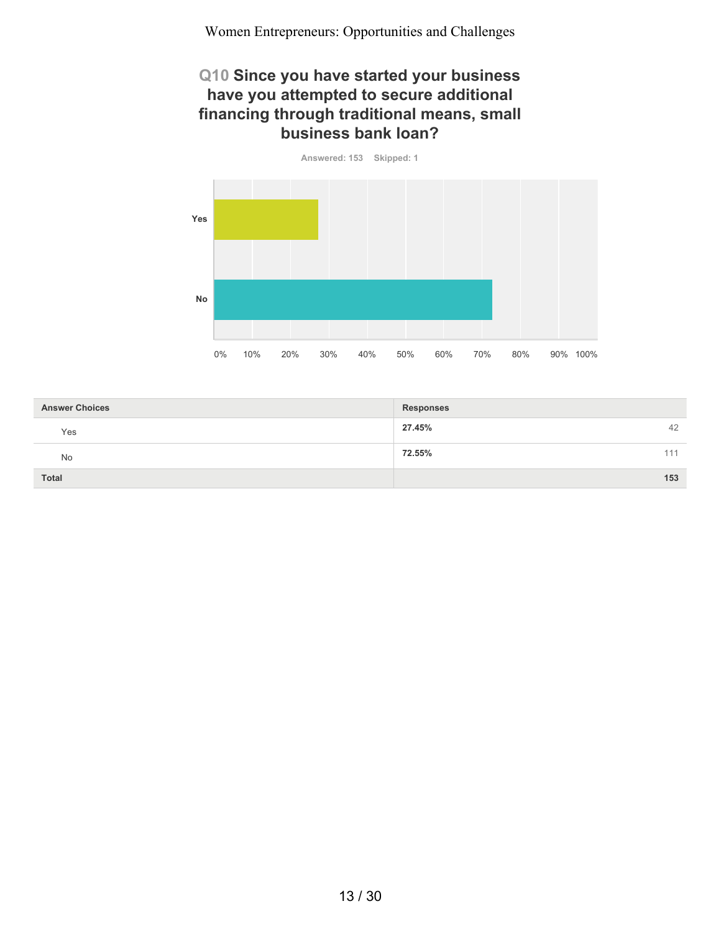#### **Q10 Since you have started your business have you attempted to secure additional financing through traditional means, small business bank loan?**



| <b>Answer Choices</b> | <b>Responses</b> |
|-----------------------|------------------|
| Yes                   | 27.45%<br>42     |
| No                    | 72.55%<br>111    |
| <b>Total</b>          | 153              |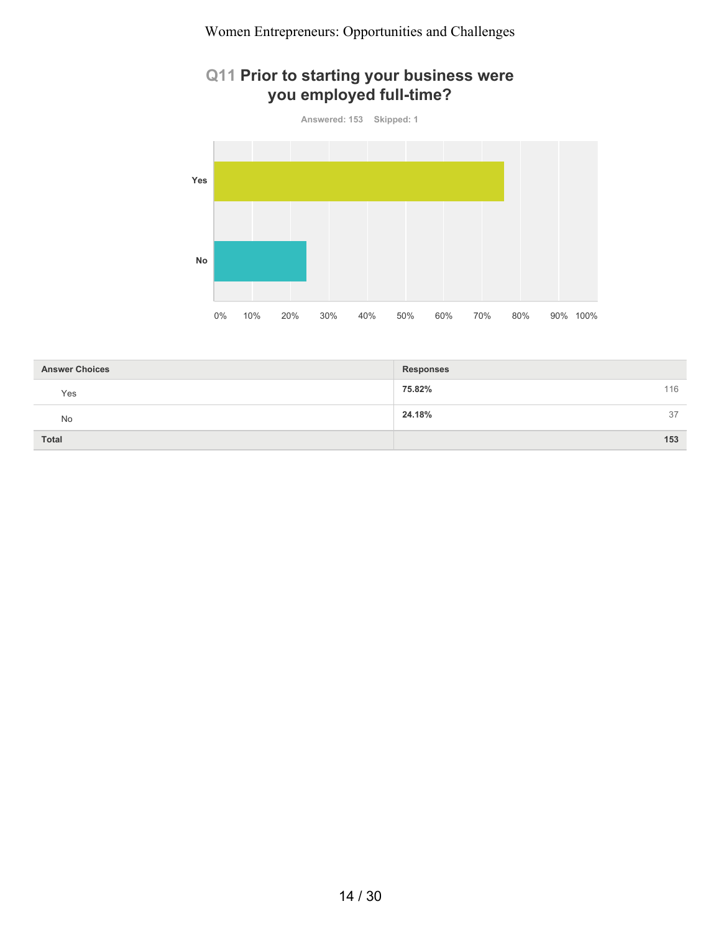## **Q11 Prior to starting your business were you employed full-time?**



| <b>Answer Choices</b> | <b>Responses</b> |
|-----------------------|------------------|
| Yes                   | 116<br>75.82%    |
| No                    | 24.18%<br>37     |
| Total                 | 153              |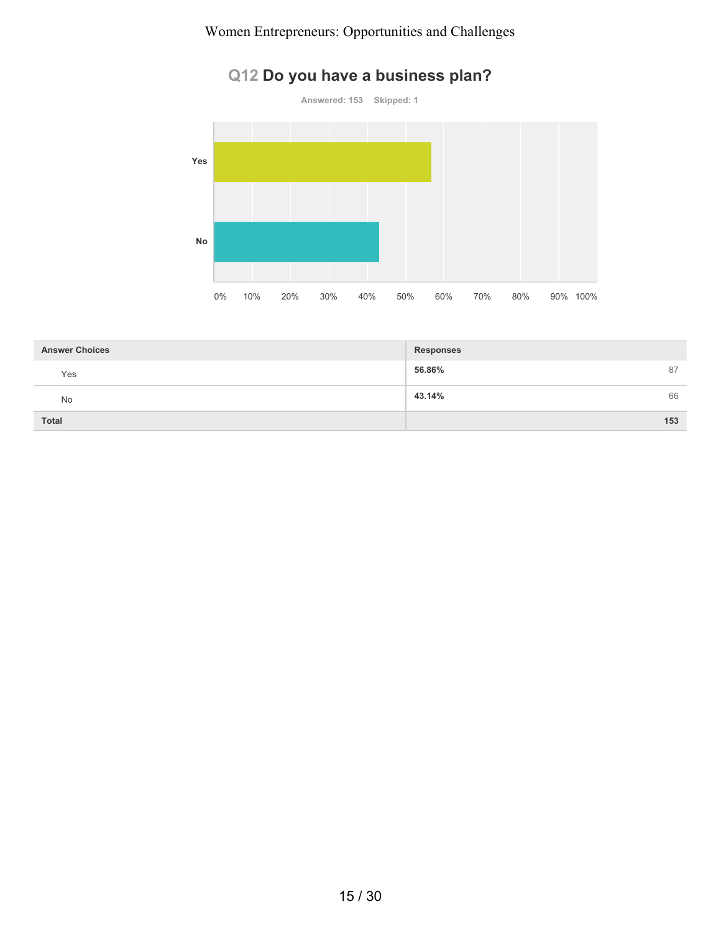

# **Q12 Do you have a business plan?**

| <b>Answer Choices</b> | <b>Responses</b> |
|-----------------------|------------------|
| Yes                   | 56.86%<br>87     |
| No                    | 43.14%<br>66     |
| <b>Total</b>          | 153              |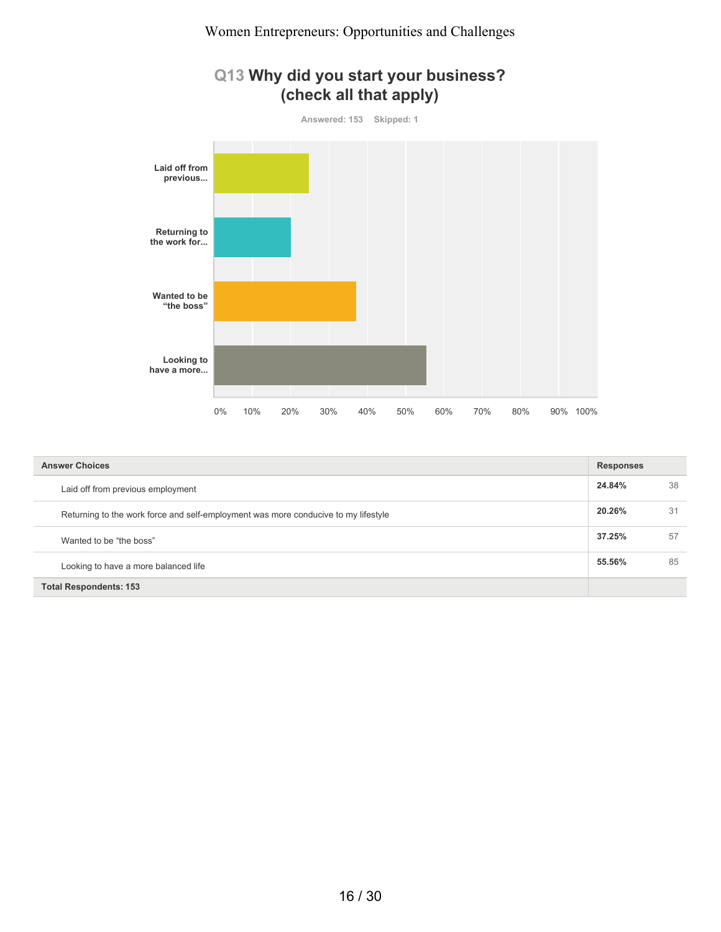## **Q13 Why did you start your business? (check all that apply)**



| <b>Answer Choices</b>                                                              |        | <b>Responses</b> |  |
|------------------------------------------------------------------------------------|--------|------------------|--|
| Laid off from previous employment                                                  | 24.84% | 38               |  |
| Returning to the work force and self-employment was more conducive to my lifestyle |        | 31               |  |
| Wanted to be "the boss"                                                            | 37.25% | 57               |  |
| Looking to have a more balanced life                                               |        | 85               |  |
| <b>Total Respondents: 153</b>                                                      |        |                  |  |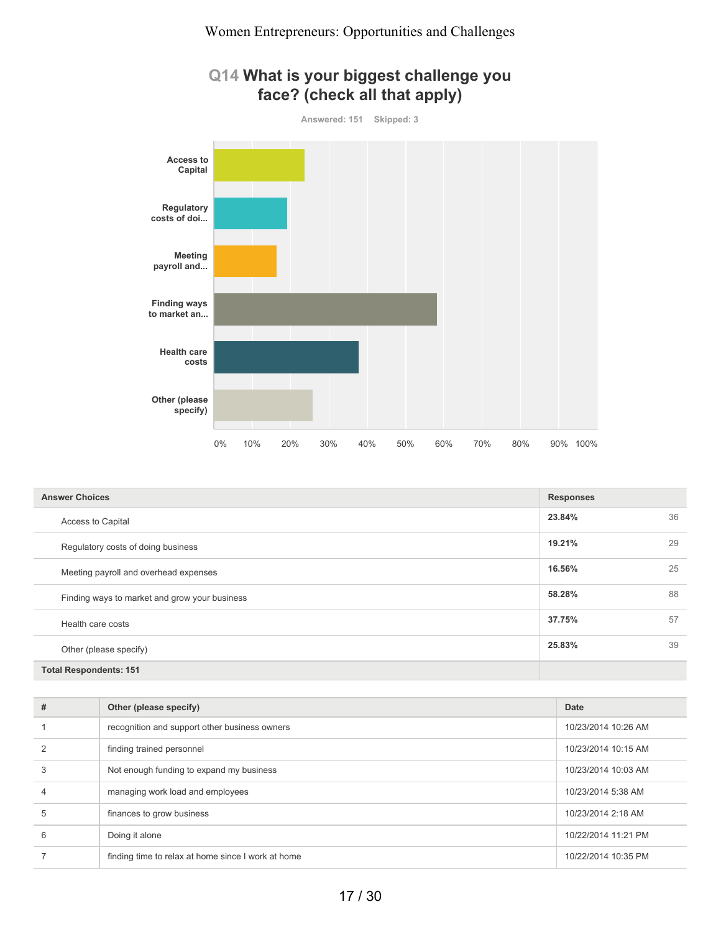#### **Q14 What is your biggest challenge you face? (check all that apply)**



| <b>Answer Choices</b>                         | <b>Responses</b> |    |
|-----------------------------------------------|------------------|----|
| <b>Access to Capital</b>                      | 23.84%           | 36 |
| Regulatory costs of doing business            | 19.21%           | 29 |
| Meeting payroll and overhead expenses         | 16.56%           | 25 |
| Finding ways to market and grow your business | 58.28%           | 88 |
| Health care costs                             | 37.75%           | 57 |
| Other (please specify)                        | 25.83%           | 39 |
| <b>Total Respondents: 151</b>                 |                  |    |

| # | Other (please specify)                             | <b>Date</b>         |
|---|----------------------------------------------------|---------------------|
|   | recognition and support other business owners      | 10/23/2014 10:26 AM |
|   | finding trained personnel                          | 10/23/2014 10:15 AM |
| 3 | Not enough funding to expand my business           | 10/23/2014 10:03 AM |
| 4 | managing work load and employees                   | 10/23/2014 5:38 AM  |
| 5 | finances to grow business                          | 10/23/2014 2:18 AM  |
| 6 | Doing it alone                                     | 10/22/2014 11:21 PM |
|   | finding time to relax at home since I work at home | 10/22/2014 10:35 PM |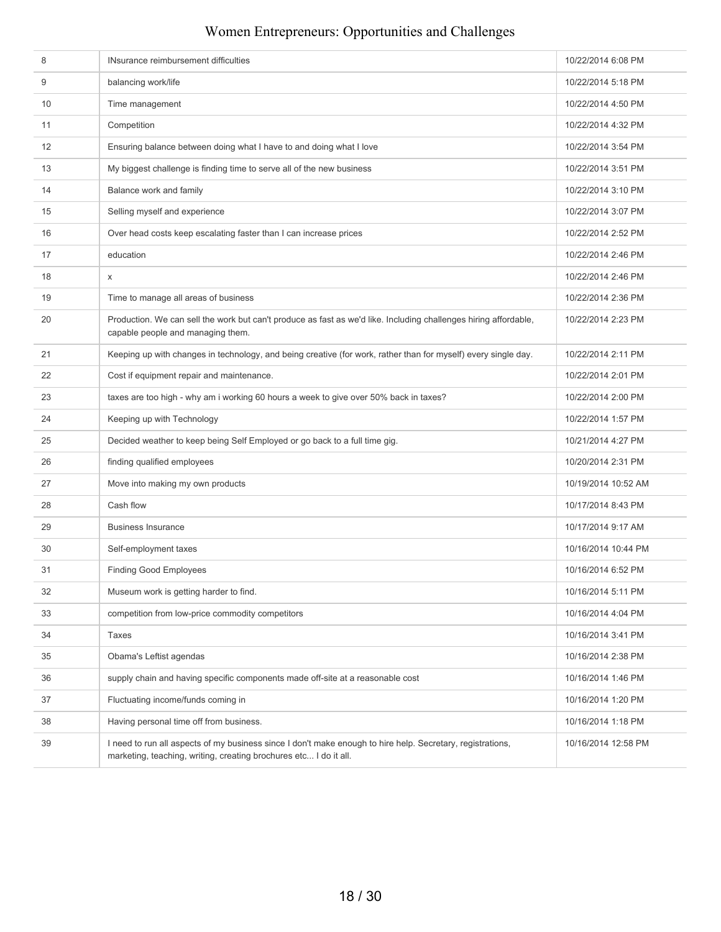| 8  | INsurance reimbursement difficulties                                                                                                                                            | 10/22/2014 6:08 PM  |
|----|---------------------------------------------------------------------------------------------------------------------------------------------------------------------------------|---------------------|
| 9  | balancing work/life                                                                                                                                                             | 10/22/2014 5:18 PM  |
| 10 | Time management                                                                                                                                                                 | 10/22/2014 4:50 PM  |
| 11 | Competition                                                                                                                                                                     | 10/22/2014 4:32 PM  |
| 12 | Ensuring balance between doing what I have to and doing what I love                                                                                                             | 10/22/2014 3:54 PM  |
| 13 | My biggest challenge is finding time to serve all of the new business                                                                                                           | 10/22/2014 3:51 PM  |
| 14 | Balance work and family                                                                                                                                                         | 10/22/2014 3:10 PM  |
| 15 | Selling myself and experience                                                                                                                                                   | 10/22/2014 3:07 PM  |
| 16 | Over head costs keep escalating faster than I can increase prices                                                                                                               | 10/22/2014 2:52 PM  |
| 17 | education                                                                                                                                                                       | 10/22/2014 2:46 PM  |
| 18 | X                                                                                                                                                                               | 10/22/2014 2:46 PM  |
| 19 | Time to manage all areas of business                                                                                                                                            | 10/22/2014 2:36 PM  |
| 20 | Production. We can sell the work but can't produce as fast as we'd like. Including challenges hiring affordable,<br>capable people and managing them.                           | 10/22/2014 2:23 PM  |
| 21 | Keeping up with changes in technology, and being creative (for work, rather than for myself) every single day.                                                                  | 10/22/2014 2:11 PM  |
| 22 | Cost if equipment repair and maintenance.                                                                                                                                       | 10/22/2014 2:01 PM  |
| 23 | taxes are too high - why am i working 60 hours a week to give over 50% back in taxes?                                                                                           | 10/22/2014 2:00 PM  |
| 24 | Keeping up with Technology                                                                                                                                                      | 10/22/2014 1:57 PM  |
| 25 | Decided weather to keep being Self Employed or go back to a full time gig.                                                                                                      | 10/21/2014 4:27 PM  |
| 26 | finding qualified employees                                                                                                                                                     | 10/20/2014 2:31 PM  |
| 27 | Move into making my own products                                                                                                                                                | 10/19/2014 10:52 AM |
| 28 | Cash flow                                                                                                                                                                       | 10/17/2014 8:43 PM  |
| 29 | <b>Business Insurance</b>                                                                                                                                                       | 10/17/2014 9:17 AM  |
| 30 | Self-employment taxes                                                                                                                                                           | 10/16/2014 10:44 PM |
| 31 | <b>Finding Good Employees</b>                                                                                                                                                   | 10/16/2014 6:52 PM  |
| 32 | Museum work is getting harder to find.                                                                                                                                          | 10/16/2014 5:11 PM  |
| 33 | competition from low-price commodity competitors                                                                                                                                | 10/16/2014 4:04 PM  |
| 34 | Taxes                                                                                                                                                                           | 10/16/2014 3:41 PM  |
| 35 | Obama's Leftist agendas                                                                                                                                                         | 10/16/2014 2:38 PM  |
| 36 | supply chain and having specific components made off-site at a reasonable cost                                                                                                  | 10/16/2014 1:46 PM  |
| 37 | Fluctuating income/funds coming in                                                                                                                                              | 10/16/2014 1:20 PM  |
| 38 | Having personal time off from business.                                                                                                                                         | 10/16/2014 1:18 PM  |
| 39 | I need to run all aspects of my business since I don't make enough to hire help. Secretary, registrations,<br>marketing, teaching, writing, creating brochures etc I do it all. | 10/16/2014 12:58 PM |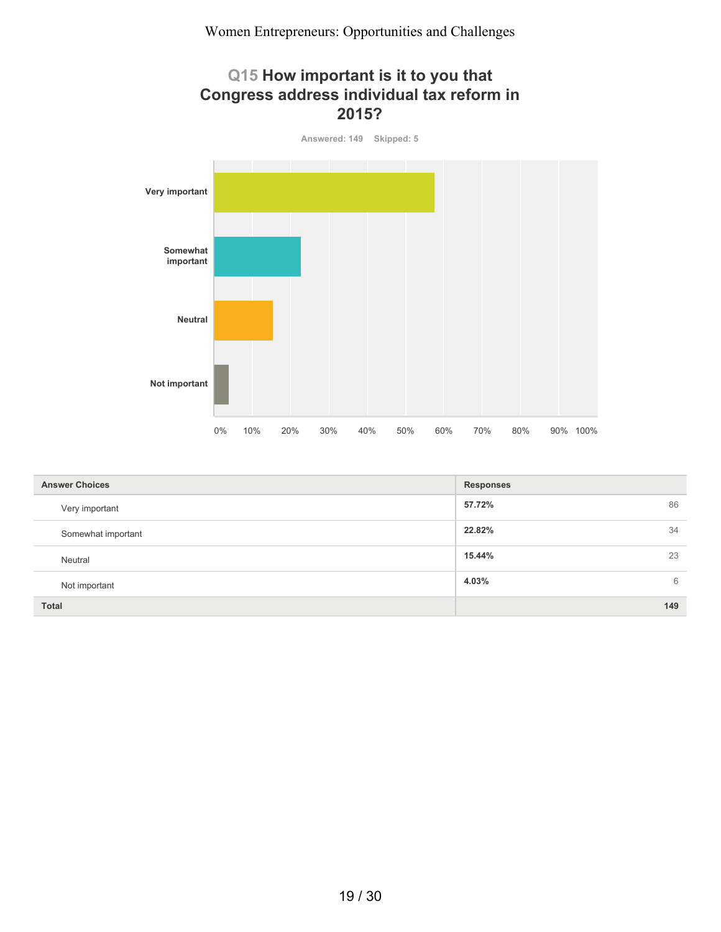#### **Q15 How important is it to you that Congress address individual tax reform in 2015?**



| <b>Answer Choices</b> | <b>Responses</b> |
|-----------------------|------------------|
| Very important        | 86<br>57.72%     |
| Somewhat important    | 22.82%<br>34     |
| Neutral               | 15.44%<br>23     |
| Not important         | 4.03%<br>6       |
| <b>Total</b>          | 149              |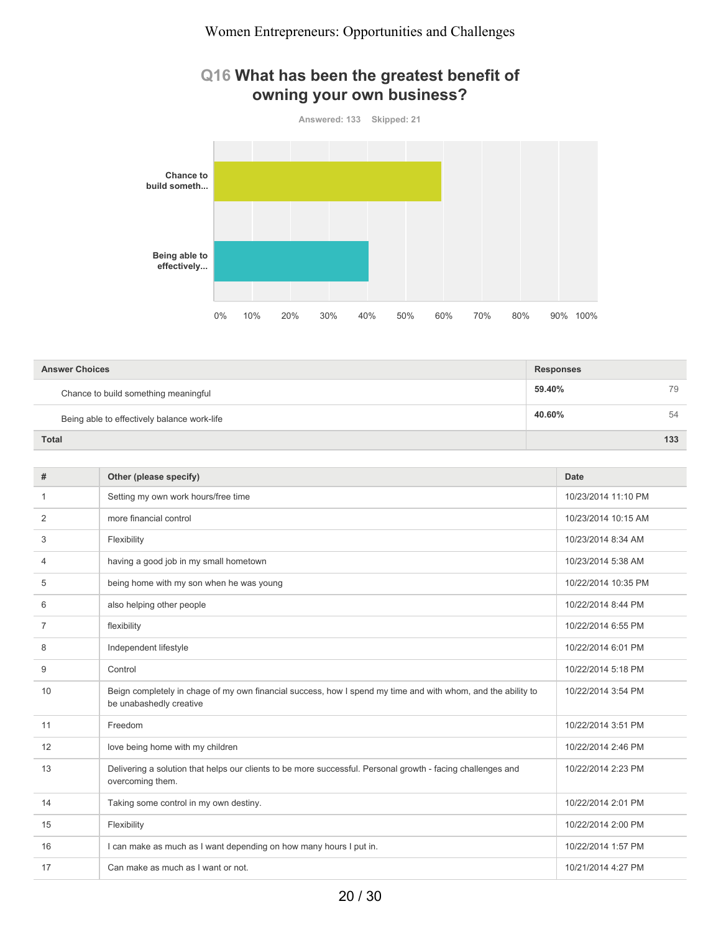#### **Q16 What has been the greatest benefit of owning your own business?**



| <b>Answer Choices</b>                       | <b>Responses</b> |     |
|---------------------------------------------|------------------|-----|
| Chance to build something meaningful        | 59.40%           | 79  |
| Being able to effectively balance work-life | 40.60%           | 54  |
| <b>Total</b>                                |                  | 133 |

| #  | Other (please specify)                                                                                                                  | <b>Date</b>         |
|----|-----------------------------------------------------------------------------------------------------------------------------------------|---------------------|
| 1  | Setting my own work hours/free time                                                                                                     | 10/23/2014 11:10 PM |
| 2  | more financial control                                                                                                                  | 10/23/2014 10:15 AM |
| 3  | Flexibility                                                                                                                             | 10/23/2014 8:34 AM  |
| 4  | having a good job in my small hometown                                                                                                  | 10/23/2014 5:38 AM  |
| 5  | being home with my son when he was young                                                                                                | 10/22/2014 10:35 PM |
| 6  | also helping other people                                                                                                               | 10/22/2014 8:44 PM  |
| 7  | flexibility                                                                                                                             | 10/22/2014 6:55 PM  |
| 8  | Independent lifestyle                                                                                                                   | 10/22/2014 6:01 PM  |
| 9  | Control                                                                                                                                 | 10/22/2014 5:18 PM  |
| 10 | Beign completely in chage of my own financial success, how I spend my time and with whom, and the ability to<br>be unabashedly creative | 10/22/2014 3:54 PM  |
| 11 | Freedom                                                                                                                                 | 10/22/2014 3:51 PM  |
| 12 | love being home with my children                                                                                                        | 10/22/2014 2:46 PM  |
| 13 | Delivering a solution that helps our clients to be more successful. Personal growth - facing challenges and<br>overcoming them.         | 10/22/2014 2:23 PM  |
| 14 | Taking some control in my own destiny.                                                                                                  | 10/22/2014 2:01 PM  |
| 15 | Flexibility                                                                                                                             | 10/22/2014 2:00 PM  |
| 16 | I can make as much as I want depending on how many hours I put in.                                                                      | 10/22/2014 1:57 PM  |
| 17 | Can make as much as I want or not.                                                                                                      | 10/21/2014 4:27 PM  |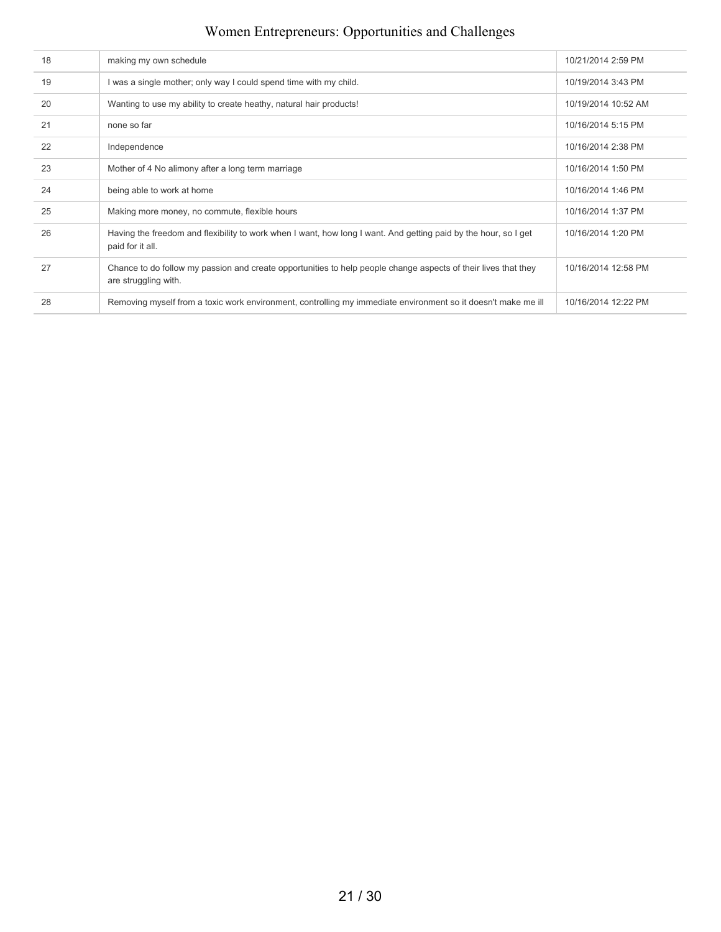| 18 | making my own schedule                                                                                                                 | 10/21/2014 2:59 PM  |
|----|----------------------------------------------------------------------------------------------------------------------------------------|---------------------|
| 19 | I was a single mother; only way I could spend time with my child.                                                                      | 10/19/2014 3:43 PM  |
| 20 | Wanting to use my ability to create heathy, natural hair products!                                                                     | 10/19/2014 10:52 AM |
| 21 | none so far                                                                                                                            | 10/16/2014 5:15 PM  |
| 22 | Independence                                                                                                                           | 10/16/2014 2:38 PM  |
| 23 | Mother of 4 No alimony after a long term marriage                                                                                      | 10/16/2014 1:50 PM  |
| 24 | being able to work at home                                                                                                             | 10/16/2014 1:46 PM  |
| 25 | Making more money, no commute, flexible hours                                                                                          | 10/16/2014 1:37 PM  |
| 26 | Having the freedom and flexibility to work when I want, how long I want. And getting paid by the hour, so I get<br>paid for it all.    | 10/16/2014 1:20 PM  |
| 27 | Chance to do follow my passion and create opportunities to help people change aspects of their lives that they<br>are struggling with. | 10/16/2014 12:58 PM |
| 28 | Removing myself from a toxic work environment, controlling my immediate environment so it doesn't make me ill                          | 10/16/2014 12:22 PM |
|    |                                                                                                                                        |                     |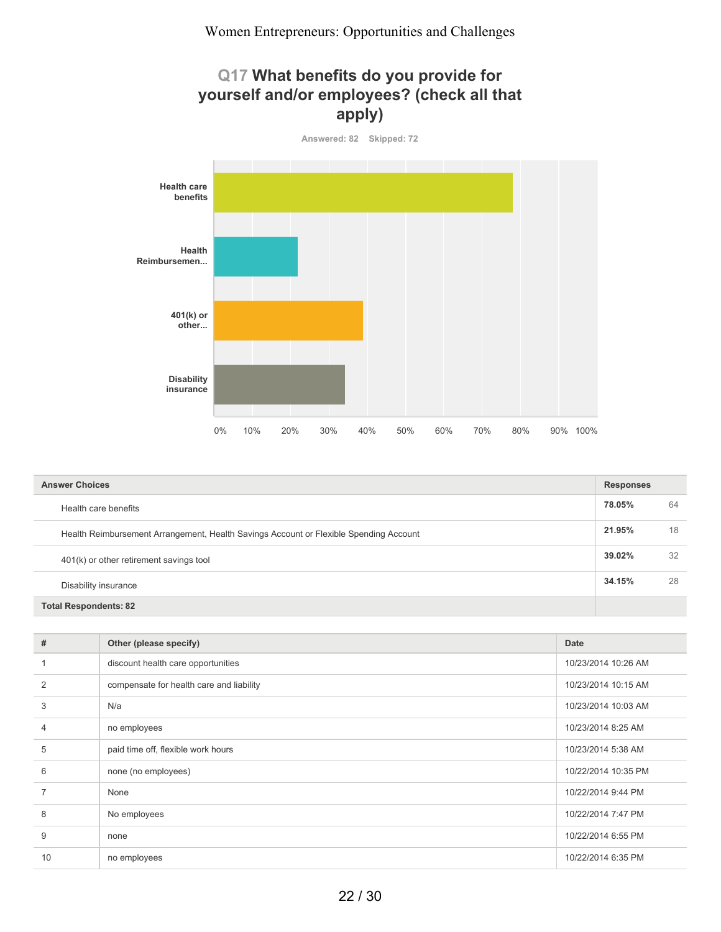## **Q17 What benefits do you provide for yourself and/or employees? (check all that apply)**



| <b>Answer Choices</b>                                                                 |        |    |
|---------------------------------------------------------------------------------------|--------|----|
| Health care benefits                                                                  | 78.05% | 64 |
| Health Reimbursement Arrangement, Health Savings Account or Flexible Spending Account |        | 18 |
| 401(k) or other retirement savings tool                                               |        | 32 |
| Disability insurance                                                                  |        | 28 |
| <b>Total Respondents: 82</b>                                                          |        |    |

| #              | Other (please specify)                   | <b>Date</b>         |
|----------------|------------------------------------------|---------------------|
|                | discount health care opportunities       | 10/23/2014 10:26 AM |
| 2              | compensate for health care and liability | 10/23/2014 10:15 AM |
| 3              | N/a                                      | 10/23/2014 10:03 AM |
| $\overline{4}$ | no employees                             | 10/23/2014 8:25 AM  |
| 5              | paid time off, flexible work hours       | 10/23/2014 5:38 AM  |
| 6              | none (no employees)                      | 10/22/2014 10:35 PM |
| $\overline{7}$ | None                                     | 10/22/2014 9:44 PM  |
| 8              | No employees                             | 10/22/2014 7:47 PM  |
| 9              | none                                     | 10/22/2014 6:55 PM  |
| 10             | no employees                             | 10/22/2014 6:35 PM  |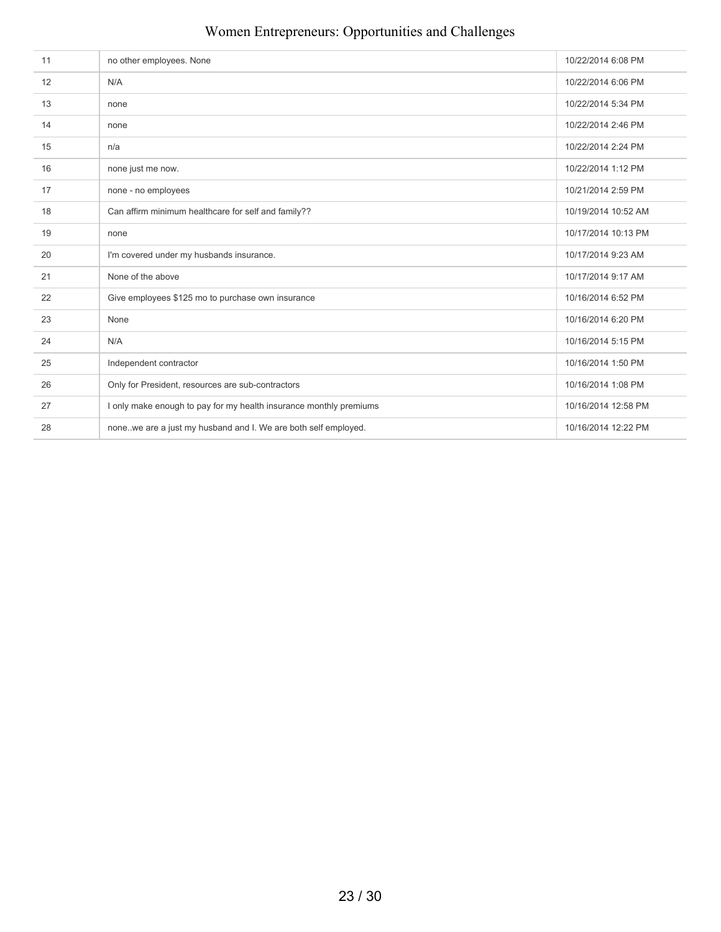| 11 | no other employees. None                                           | 10/22/2014 6:08 PM  |
|----|--------------------------------------------------------------------|---------------------|
| 12 | N/A                                                                | 10/22/2014 6:06 PM  |
| 13 | none                                                               | 10/22/2014 5:34 PM  |
| 14 | none                                                               | 10/22/2014 2:46 PM  |
| 15 | n/a                                                                | 10/22/2014 2:24 PM  |
| 16 | none just me now.                                                  | 10/22/2014 1:12 PM  |
| 17 | none - no employees                                                | 10/21/2014 2:59 PM  |
| 18 | Can affirm minimum healthcare for self and family??                | 10/19/2014 10:52 AM |
| 19 | none                                                               | 10/17/2014 10:13 PM |
| 20 | I'm covered under my husbands insurance.                           | 10/17/2014 9:23 AM  |
| 21 | None of the above                                                  | 10/17/2014 9:17 AM  |
| 22 | Give employees \$125 mo to purchase own insurance                  | 10/16/2014 6:52 PM  |
| 23 | None                                                               | 10/16/2014 6:20 PM  |
| 24 | N/A                                                                | 10/16/2014 5:15 PM  |
| 25 | Independent contractor                                             | 10/16/2014 1:50 PM  |
| 26 | Only for President, resources are sub-contractors                  | 10/16/2014 1:08 PM  |
| 27 | I only make enough to pay for my health insurance monthly premiums | 10/16/2014 12:58 PM |
| 28 | nonewe are a just my husband and I. We are both self employed.     | 10/16/2014 12:22 PM |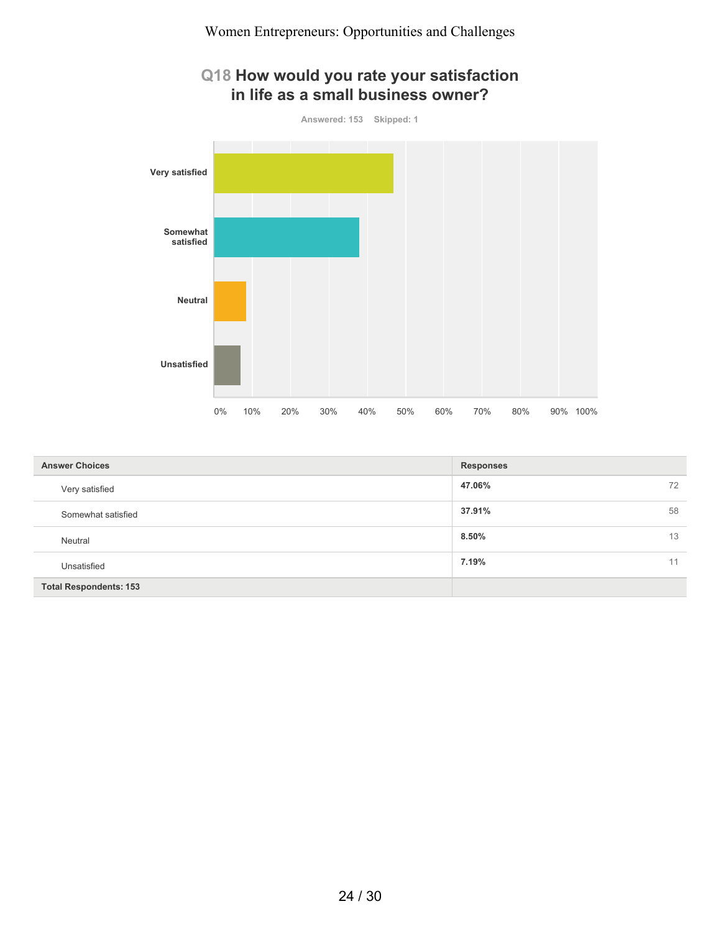

| <b>Answer Choices</b>         | <b>Responses</b> |
|-------------------------------|------------------|
| Very satisfied                | 47.06%<br>72     |
| Somewhat satisfied            | 37.91%<br>58     |
| Neutral                       | 8.50%<br>13      |
| Unsatisfied                   | 7.19%<br>11      |
| <b>Total Respondents: 153</b> |                  |

#### 24 / 30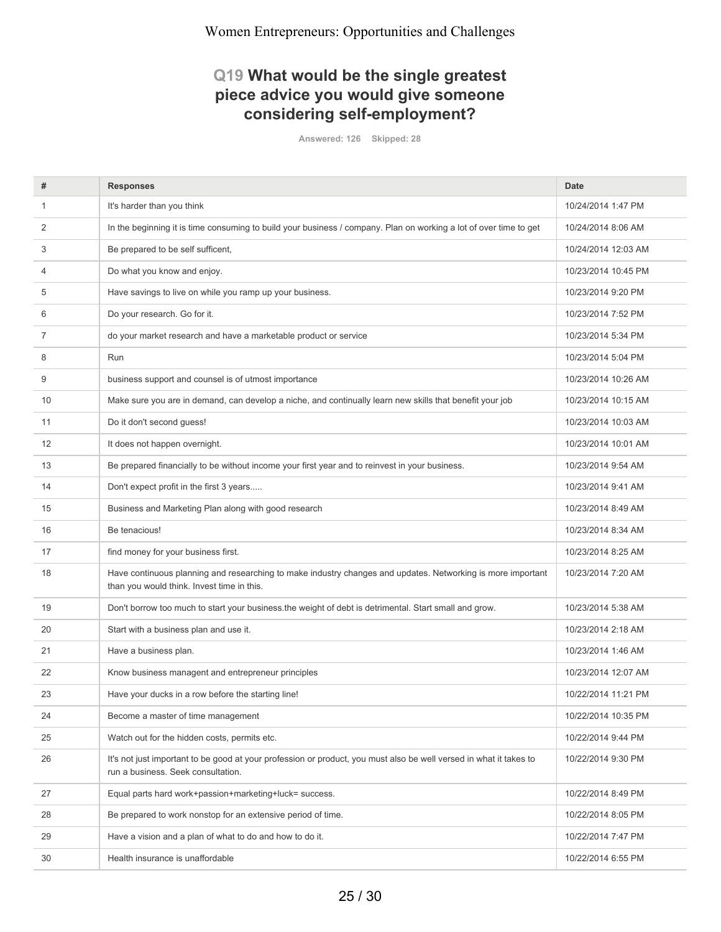### **Q19 What would be the single greatest piece advice you would give someone considering self-employment?**

**Answered: 126 Skipped: 28**

| #  | <b>Responses</b>                                                                                                                                          | <b>Date</b>         |
|----|-----------------------------------------------------------------------------------------------------------------------------------------------------------|---------------------|
| 1  | It's harder than you think                                                                                                                                | 10/24/2014 1:47 PM  |
| 2  | In the beginning it is time consuming to build your business / company. Plan on working a lot of over time to get                                         | 10/24/2014 8:06 AM  |
| 3  | Be prepared to be self sufficent,                                                                                                                         | 10/24/2014 12:03 AM |
| 4  | Do what you know and enjoy.                                                                                                                               | 10/23/2014 10:45 PM |
| 5  | Have savings to live on while you ramp up your business.                                                                                                  | 10/23/2014 9:20 PM  |
| 6  | Do your research. Go for it.                                                                                                                              | 10/23/2014 7:52 PM  |
| 7  | do your market research and have a marketable product or service                                                                                          | 10/23/2014 5:34 PM  |
| 8  | Run                                                                                                                                                       | 10/23/2014 5:04 PM  |
| 9  | business support and counsel is of utmost importance                                                                                                      | 10/23/2014 10:26 AM |
| 10 | Make sure you are in demand, can develop a niche, and continually learn new skills that benefit your job                                                  | 10/23/2014 10:15 AM |
| 11 | Do it don't second guess!                                                                                                                                 | 10/23/2014 10:03 AM |
| 12 | It does not happen overnight.                                                                                                                             | 10/23/2014 10:01 AM |
| 13 | Be prepared financially to be without income your first year and to reinvest in your business.                                                            | 10/23/2014 9:54 AM  |
| 14 | Don't expect profit in the first 3 years                                                                                                                  | 10/23/2014 9:41 AM  |
| 15 | Business and Marketing Plan along with good research                                                                                                      | 10/23/2014 8:49 AM  |
| 16 | Be tenacious!                                                                                                                                             | 10/23/2014 8:34 AM  |
| 17 | find money for your business first.                                                                                                                       | 10/23/2014 8:25 AM  |
| 18 | Have continuous planning and researching to make industry changes and updates. Networking is more important<br>than you would think. Invest time in this. | 10/23/2014 7:20 AM  |
| 19 | Don't borrow too much to start your business the weight of debt is detrimental. Start small and grow.                                                     | 10/23/2014 5:38 AM  |
| 20 | Start with a business plan and use it.                                                                                                                    | 10/23/2014 2:18 AM  |
| 21 | Have a business plan.                                                                                                                                     | 10/23/2014 1:46 AM  |
| 22 | Know business managent and entrepreneur principles                                                                                                        | 10/23/2014 12:07 AM |
| 23 | Have your ducks in a row before the starting line!                                                                                                        | 10/22/2014 11:21 PM |
| 24 | Become a master of time management                                                                                                                        | 10/22/2014 10:35 PM |
| 25 | Watch out for the hidden costs, permits etc.                                                                                                              | 10/22/2014 9:44 PM  |
| 26 | It's not just important to be good at your profession or product, you must also be well versed in what it takes to<br>run a business. Seek consultation.  | 10/22/2014 9:30 PM  |
| 27 | Equal parts hard work+passion+marketing+luck= success.                                                                                                    | 10/22/2014 8:49 PM  |
| 28 | Be prepared to work nonstop for an extensive period of time.                                                                                              | 10/22/2014 8:05 PM  |
| 29 | Have a vision and a plan of what to do and how to do it.                                                                                                  | 10/22/2014 7:47 PM  |
| 30 | Health insurance is unaffordable                                                                                                                          | 10/22/2014 6:55 PM  |
|    |                                                                                                                                                           |                     |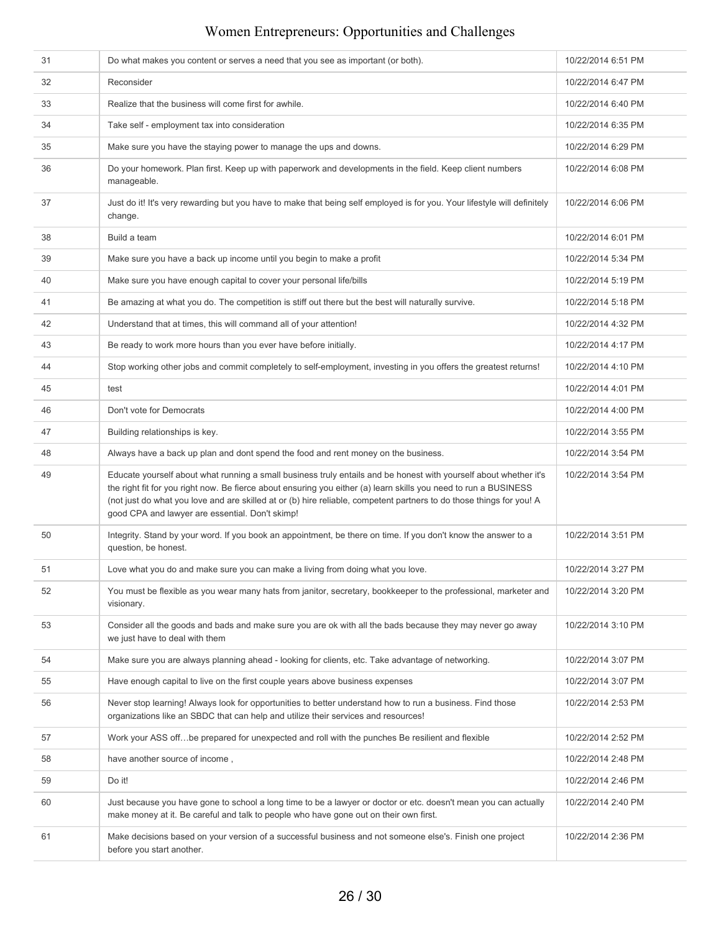| 31 | Do what makes you content or serves a need that you see as important (or both).                                                                                                                                                                                                                                                                                                                                  | 10/22/2014 6:51 PM |
|----|------------------------------------------------------------------------------------------------------------------------------------------------------------------------------------------------------------------------------------------------------------------------------------------------------------------------------------------------------------------------------------------------------------------|--------------------|
| 32 | Reconsider                                                                                                                                                                                                                                                                                                                                                                                                       | 10/22/2014 6:47 PM |
| 33 | Realize that the business will come first for awhile.                                                                                                                                                                                                                                                                                                                                                            | 10/22/2014 6:40 PM |
| 34 | Take self - employment tax into consideration                                                                                                                                                                                                                                                                                                                                                                    | 10/22/2014 6:35 PM |
| 35 | Make sure you have the staying power to manage the ups and downs.                                                                                                                                                                                                                                                                                                                                                | 10/22/2014 6:29 PM |
| 36 | Do your homework. Plan first. Keep up with paperwork and developments in the field. Keep client numbers<br>manageable.                                                                                                                                                                                                                                                                                           | 10/22/2014 6:08 PM |
| 37 | Just do it! It's very rewarding but you have to make that being self employed is for you. Your lifestyle will definitely<br>change.                                                                                                                                                                                                                                                                              | 10/22/2014 6:06 PM |
| 38 | Build a team                                                                                                                                                                                                                                                                                                                                                                                                     | 10/22/2014 6:01 PM |
| 39 | Make sure you have a back up income until you begin to make a profit                                                                                                                                                                                                                                                                                                                                             | 10/22/2014 5:34 PM |
| 40 | Make sure you have enough capital to cover your personal life/bills                                                                                                                                                                                                                                                                                                                                              | 10/22/2014 5:19 PM |
| 41 | Be amazing at what you do. The competition is stiff out there but the best will naturally survive.                                                                                                                                                                                                                                                                                                               | 10/22/2014 5:18 PM |
| 42 | Understand that at times, this will command all of your attention!                                                                                                                                                                                                                                                                                                                                               | 10/22/2014 4:32 PM |
| 43 | Be ready to work more hours than you ever have before initially.                                                                                                                                                                                                                                                                                                                                                 | 10/22/2014 4:17 PM |
| 44 | Stop working other jobs and commit completely to self-employment, investing in you offers the greatest returns!                                                                                                                                                                                                                                                                                                  | 10/22/2014 4:10 PM |
| 45 | test                                                                                                                                                                                                                                                                                                                                                                                                             | 10/22/2014 4:01 PM |
| 46 | Don't vote for Democrats                                                                                                                                                                                                                                                                                                                                                                                         | 10/22/2014 4:00 PM |
| 47 | Building relationships is key.                                                                                                                                                                                                                                                                                                                                                                                   | 10/22/2014 3:55 PM |
| 48 | Always have a back up plan and dont spend the food and rent money on the business.                                                                                                                                                                                                                                                                                                                               | 10/22/2014 3:54 PM |
| 49 | Educate yourself about what running a small business truly entails and be honest with yourself about whether it's<br>the right fit for you right now. Be fierce about ensuring you either (a) learn skills you need to run a BUSINESS<br>(not just do what you love and are skilled at or (b) hire reliable, competent partners to do those things for you! A<br>good CPA and lawyer are essential. Don't skimp! | 10/22/2014 3:54 PM |
| 50 | Integrity. Stand by your word. If you book an appointment, be there on time. If you don't know the answer to a<br>question, be honest.                                                                                                                                                                                                                                                                           | 10/22/2014 3:51 PM |
| 51 | Love what you do and make sure you can make a living from doing what you love.                                                                                                                                                                                                                                                                                                                                   | 10/22/2014 3:27 PM |
| 52 | You must be flexible as you wear many hats from janitor, secretary, bookkeeper to the professional, marketer and<br>visionary.                                                                                                                                                                                                                                                                                   | 10/22/2014 3:20 PM |
| 53 | Consider all the goods and bads and make sure you are ok with all the bads because they may never go away<br>we just have to deal with them                                                                                                                                                                                                                                                                      | 10/22/2014 3:10 PM |
| 54 | Make sure you are always planning ahead - looking for clients, etc. Take advantage of networking.                                                                                                                                                                                                                                                                                                                | 10/22/2014 3:07 PM |
| 55 | Have enough capital to live on the first couple years above business expenses                                                                                                                                                                                                                                                                                                                                    | 10/22/2014 3:07 PM |
| 56 | Never stop learning! Always look for opportunities to better understand how to run a business. Find those<br>organizations like an SBDC that can help and utilize their services and resources!                                                                                                                                                                                                                  | 10/22/2014 2:53 PM |
| 57 | Work your ASS offbe prepared for unexpected and roll with the punches Be resilient and flexible                                                                                                                                                                                                                                                                                                                  | 10/22/2014 2:52 PM |
| 58 | have another source of income,                                                                                                                                                                                                                                                                                                                                                                                   | 10/22/2014 2:48 PM |
| 59 | Do it!                                                                                                                                                                                                                                                                                                                                                                                                           | 10/22/2014 2:46 PM |
| 60 | Just because you have gone to school a long time to be a lawyer or doctor or etc. doesn't mean you can actually<br>make money at it. Be careful and talk to people who have gone out on their own first.                                                                                                                                                                                                         | 10/22/2014 2:40 PM |
| 61 | Make decisions based on your version of a successful business and not someone else's. Finish one project<br>before you start another.                                                                                                                                                                                                                                                                            | 10/22/2014 2:36 PM |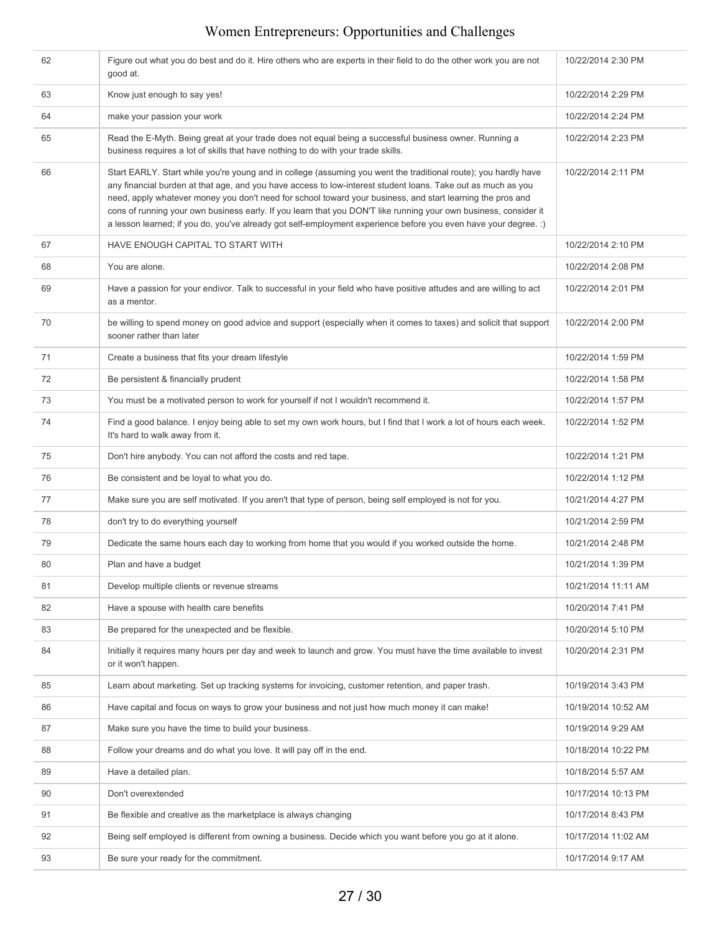| 62 | Figure out what you do best and do it. Hire others who are experts in their field to do the other work you are not<br>good at.                                                                                                                                                                                                                                                                                                                                                                                                                                                       | 10/22/2014 2:30 PM  |
|----|--------------------------------------------------------------------------------------------------------------------------------------------------------------------------------------------------------------------------------------------------------------------------------------------------------------------------------------------------------------------------------------------------------------------------------------------------------------------------------------------------------------------------------------------------------------------------------------|---------------------|
| 63 | Know just enough to say yes!                                                                                                                                                                                                                                                                                                                                                                                                                                                                                                                                                         | 10/22/2014 2:29 PM  |
| 64 | make your passion your work                                                                                                                                                                                                                                                                                                                                                                                                                                                                                                                                                          | 10/22/2014 2:24 PM  |
| 65 | Read the E-Myth. Being great at your trade does not equal being a successful business owner. Running a<br>business requires a lot of skills that have nothing to do with your trade skills.                                                                                                                                                                                                                                                                                                                                                                                          | 10/22/2014 2:23 PM  |
| 66 | Start EARLY. Start while you're young and in college (assuming you went the traditional route); you hardly have<br>any financial burden at that age, and you have access to low-interest student loans. Take out as much as you<br>need, apply whatever money you don't need for school toward your business, and start learning the pros and<br>cons of running your own business early. If you learn that you DON'T like running your own business, consider it<br>a lesson learned; if you do, you've already got self-employment experience before you even have your degree. :) | 10/22/2014 2:11 PM  |
| 67 | HAVE ENOUGH CAPITAL TO START WITH                                                                                                                                                                                                                                                                                                                                                                                                                                                                                                                                                    | 10/22/2014 2:10 PM  |
| 68 | You are alone.                                                                                                                                                                                                                                                                                                                                                                                                                                                                                                                                                                       | 10/22/2014 2:08 PM  |
| 69 | Have a passion for your endivor. Talk to successful in your field who have positive attudes and are willing to act<br>as a mentor.                                                                                                                                                                                                                                                                                                                                                                                                                                                   | 10/22/2014 2:01 PM  |
| 70 | be willing to spend money on good advice and support (especially when it comes to taxes) and solicit that support<br>sooner rather than later                                                                                                                                                                                                                                                                                                                                                                                                                                        | 10/22/2014 2:00 PM  |
| 71 | Create a business that fits your dream lifestyle                                                                                                                                                                                                                                                                                                                                                                                                                                                                                                                                     | 10/22/2014 1:59 PM  |
| 72 | Be persistent & financially prudent                                                                                                                                                                                                                                                                                                                                                                                                                                                                                                                                                  | 10/22/2014 1:58 PM  |
| 73 | You must be a motivated person to work for yourself if not I wouldn't recommend it.                                                                                                                                                                                                                                                                                                                                                                                                                                                                                                  | 10/22/2014 1:57 PM  |
| 74 | Find a good balance. I enjoy being able to set my own work hours, but I find that I work a lot of hours each week.<br>It's hard to walk away from it.                                                                                                                                                                                                                                                                                                                                                                                                                                | 10/22/2014 1:52 PM  |
| 75 | Don't hire anybody. You can not afford the costs and red tape.                                                                                                                                                                                                                                                                                                                                                                                                                                                                                                                       | 10/22/2014 1:21 PM  |
| 76 | Be consistent and be loyal to what you do.                                                                                                                                                                                                                                                                                                                                                                                                                                                                                                                                           | 10/22/2014 1:12 PM  |
| 77 | Make sure you are self motivated. If you aren't that type of person, being self employed is not for you.                                                                                                                                                                                                                                                                                                                                                                                                                                                                             | 10/21/2014 4:27 PM  |
| 78 | don't try to do everything yourself                                                                                                                                                                                                                                                                                                                                                                                                                                                                                                                                                  | 10/21/2014 2:59 PM  |
| 79 | Dedicate the same hours each day to working from home that you would if you worked outside the home.                                                                                                                                                                                                                                                                                                                                                                                                                                                                                 | 10/21/2014 2:48 PM  |
| 80 | Plan and have a budget                                                                                                                                                                                                                                                                                                                                                                                                                                                                                                                                                               | 10/21/2014 1:39 PM  |
| 81 | Develop multiple clients or revenue streams                                                                                                                                                                                                                                                                                                                                                                                                                                                                                                                                          | 10/21/2014 11:11 AM |
| 82 | Have a spouse with health care benefits                                                                                                                                                                                                                                                                                                                                                                                                                                                                                                                                              | 10/20/2014 7:41 PM  |
| 83 | Be prepared for the unexpected and be flexible.                                                                                                                                                                                                                                                                                                                                                                                                                                                                                                                                      | 10/20/2014 5:10 PM  |
| 84 | Initially it requires many hours per day and week to launch and grow. You must have the time available to invest<br>or it won't happen.                                                                                                                                                                                                                                                                                                                                                                                                                                              | 10/20/2014 2:31 PM  |
| 85 | Learn about marketing. Set up tracking systems for invoicing, customer retention, and paper trash.                                                                                                                                                                                                                                                                                                                                                                                                                                                                                   | 10/19/2014 3:43 PM  |
| 86 | Have capital and focus on ways to grow your business and not just how much money it can make!                                                                                                                                                                                                                                                                                                                                                                                                                                                                                        | 10/19/2014 10:52 AM |
| 87 | Make sure you have the time to build your business.                                                                                                                                                                                                                                                                                                                                                                                                                                                                                                                                  | 10/19/2014 9:29 AM  |
| 88 | Follow your dreams and do what you love. It will pay off in the end.                                                                                                                                                                                                                                                                                                                                                                                                                                                                                                                 | 10/18/2014 10:22 PM |
| 89 | Have a detailed plan.                                                                                                                                                                                                                                                                                                                                                                                                                                                                                                                                                                | 10/18/2014 5:57 AM  |
| 90 | Don't overextended                                                                                                                                                                                                                                                                                                                                                                                                                                                                                                                                                                   | 10/17/2014 10:13 PM |
| 91 | Be flexible and creative as the marketplace is always changing                                                                                                                                                                                                                                                                                                                                                                                                                                                                                                                       | 10/17/2014 8:43 PM  |
| 92 | Being self employed is different from owning a business. Decide which you want before you go at it alone.                                                                                                                                                                                                                                                                                                                                                                                                                                                                            | 10/17/2014 11:02 AM |
| 93 | Be sure your ready for the commitment.                                                                                                                                                                                                                                                                                                                                                                                                                                                                                                                                               | 10/17/2014 9:17 AM  |
|    |                                                                                                                                                                                                                                                                                                                                                                                                                                                                                                                                                                                      |                     |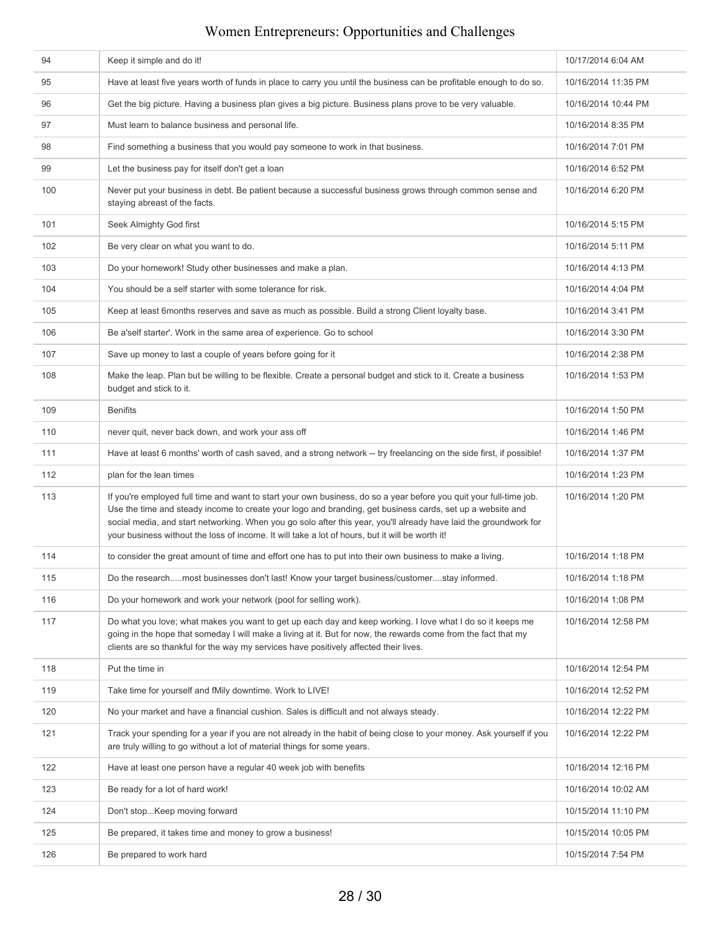| 94  | Keep it simple and do it!                                                                                                                                                                                                                                                                                                                                                                                                                               | 10/17/2014 6:04 AM  |  |
|-----|---------------------------------------------------------------------------------------------------------------------------------------------------------------------------------------------------------------------------------------------------------------------------------------------------------------------------------------------------------------------------------------------------------------------------------------------------------|---------------------|--|
| 95  | Have at least five years worth of funds in place to carry you until the business can be profitable enough to do so.                                                                                                                                                                                                                                                                                                                                     | 10/16/2014 11:35 PM |  |
| 96  | Get the big picture. Having a business plan gives a big picture. Business plans prove to be very valuable.                                                                                                                                                                                                                                                                                                                                              | 10/16/2014 10:44 PM |  |
| 97  | Must learn to balance business and personal life.                                                                                                                                                                                                                                                                                                                                                                                                       | 10/16/2014 8:35 PM  |  |
| 98  | Find something a business that you would pay someone to work in that business.                                                                                                                                                                                                                                                                                                                                                                          | 10/16/2014 7:01 PM  |  |
| 99  | Let the business pay for itself don't get a loan                                                                                                                                                                                                                                                                                                                                                                                                        | 10/16/2014 6:52 PM  |  |
| 100 | Never put your business in debt. Be patient because a successful business grows through common sense and<br>staying abreast of the facts.                                                                                                                                                                                                                                                                                                               | 10/16/2014 6:20 PM  |  |
| 101 | Seek Almighty God first                                                                                                                                                                                                                                                                                                                                                                                                                                 | 10/16/2014 5:15 PM  |  |
| 102 | Be very clear on what you want to do.                                                                                                                                                                                                                                                                                                                                                                                                                   | 10/16/2014 5:11 PM  |  |
| 103 | Do your homework! Study other businesses and make a plan.                                                                                                                                                                                                                                                                                                                                                                                               | 10/16/2014 4:13 PM  |  |
| 104 | You should be a self starter with some tolerance for risk.                                                                                                                                                                                                                                                                                                                                                                                              | 10/16/2014 4:04 PM  |  |
| 105 | Keep at least 6months reserves and save as much as possible. Build a strong Client loyalty base.                                                                                                                                                                                                                                                                                                                                                        | 10/16/2014 3:41 PM  |  |
| 106 | Be a'self starter'. Work in the same area of experience. Go to school                                                                                                                                                                                                                                                                                                                                                                                   | 10/16/2014 3:30 PM  |  |
| 107 | Save up money to last a couple of years before going for it                                                                                                                                                                                                                                                                                                                                                                                             | 10/16/2014 2:38 PM  |  |
| 108 | Make the leap. Plan but be willing to be flexible. Create a personal budget and stick to it. Create a business<br>budget and stick to it.                                                                                                                                                                                                                                                                                                               | 10/16/2014 1:53 PM  |  |
| 109 | <b>Benifits</b>                                                                                                                                                                                                                                                                                                                                                                                                                                         | 10/16/2014 1:50 PM  |  |
| 110 | never quit, never back down, and work your ass off                                                                                                                                                                                                                                                                                                                                                                                                      | 10/16/2014 1:46 PM  |  |
| 111 | Have at least 6 months' worth of cash saved, and a strong network -- try freelancing on the side first, if possible!                                                                                                                                                                                                                                                                                                                                    | 10/16/2014 1:37 PM  |  |
| 112 | plan for the lean times                                                                                                                                                                                                                                                                                                                                                                                                                                 | 10/16/2014 1:23 PM  |  |
| 113 | If you're employed full time and want to start your own business, do so a year before you quit your full-time job.<br>Use the time and steady income to create your logo and branding, get business cards, set up a website and<br>social media, and start networking. When you go solo after this year, you'll already have laid the groundwork for<br>your business without the loss of income. It will take a lot of hours, but it will be worth it! | 10/16/2014 1:20 PM  |  |
| 114 | to consider the great amount of time and effort one has to put into their own business to make a living.                                                                                                                                                                                                                                                                                                                                                | 10/16/2014 1:18 PM  |  |
| 115 | Do the researchmost businesses don't last! Know your target business/customerstay informed.                                                                                                                                                                                                                                                                                                                                                             | 10/16/2014 1:18 PM  |  |
| 116 | Do your homework and work your network (pool for selling work).                                                                                                                                                                                                                                                                                                                                                                                         | 10/16/2014 1:08 PM  |  |
| 117 | Do what you love; what makes you want to get up each day and keep working. I love what I do so it keeps me<br>going in the hope that someday I will make a living at it. But for now, the rewards come from the fact that my<br>clients are so thankful for the way my services have positively affected their lives.                                                                                                                                   | 10/16/2014 12:58 PM |  |
| 118 | Put the time in                                                                                                                                                                                                                                                                                                                                                                                                                                         | 10/16/2014 12:54 PM |  |
| 119 | Take time for yourself and fMily downtime. Work to LIVE!                                                                                                                                                                                                                                                                                                                                                                                                | 10/16/2014 12:52 PM |  |
| 120 | No your market and have a financial cushion. Sales is difficult and not always steady.                                                                                                                                                                                                                                                                                                                                                                  | 10/16/2014 12:22 PM |  |
| 121 | Track your spending for a year if you are not already in the habit of being close to your money. Ask yourself if you<br>are truly willing to go without a lot of material things for some years.                                                                                                                                                                                                                                                        | 10/16/2014 12:22 PM |  |
| 122 | Have at least one person have a regular 40 week job with benefits                                                                                                                                                                                                                                                                                                                                                                                       | 10/16/2014 12:16 PM |  |
| 123 | Be ready for a lot of hard work!                                                                                                                                                                                                                                                                                                                                                                                                                        | 10/16/2014 10:02 AM |  |
| 124 | Don't stopKeep moving forward                                                                                                                                                                                                                                                                                                                                                                                                                           | 10/15/2014 11:10 PM |  |
| 125 | Be prepared, it takes time and money to grow a business!                                                                                                                                                                                                                                                                                                                                                                                                | 10/15/2014 10:05 PM |  |
| 126 | Be prepared to work hard                                                                                                                                                                                                                                                                                                                                                                                                                                | 10/15/2014 7:54 PM  |  |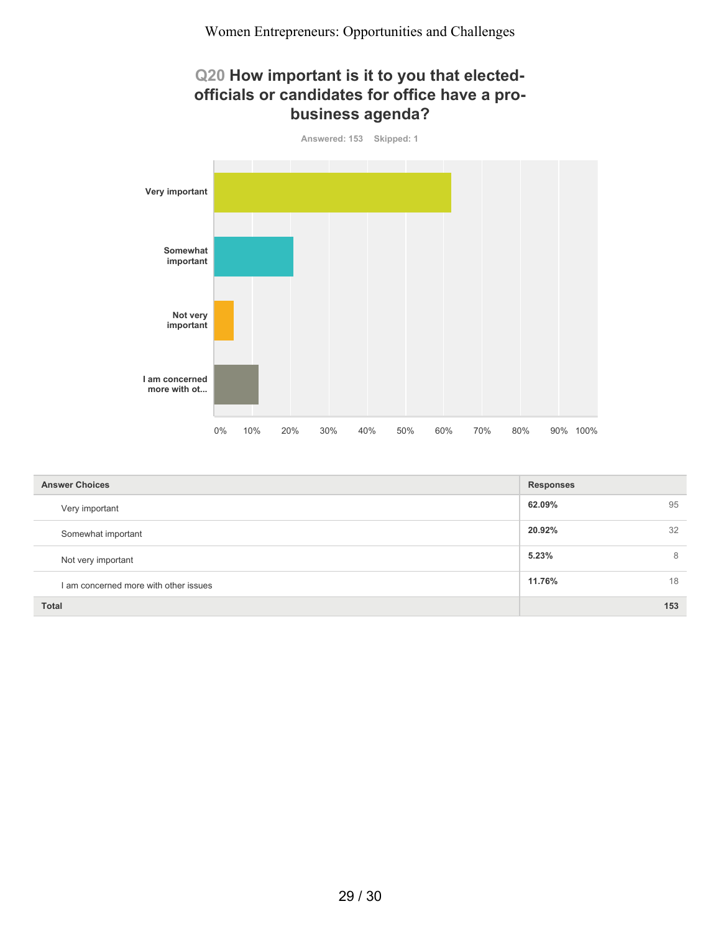#### **Q20 How important is it to you that electedofficials or candidates for office have a probusiness agenda?**



| <b>Answer Choices</b>                 | <b>Responses</b> |     |
|---------------------------------------|------------------|-----|
| Very important                        | 62.09%           | 95  |
| Somewhat important                    | 20.92%           | 32  |
| Not very important                    | 5.23%            | 8   |
| I am concerned more with other issues | 11.76%           | 18  |
| <b>Total</b>                          |                  | 153 |